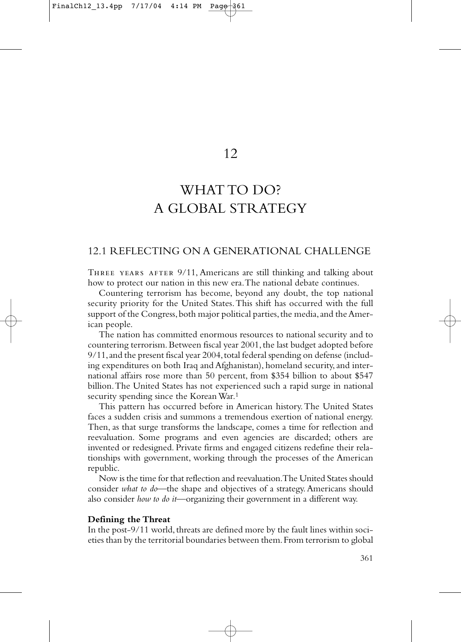12

# WHAT TO DO? A GLOBAL STRATEGY

## 12.1 REFLECTING ON A GENERATIONAL CHALLENGE

THREE YEARS AFTER 9/11, Americans are still thinking and talking about how to protect our nation in this new era.The national debate continues.

Countering terrorism has become, beyond any doubt, the top national security priority for the United States.This shift has occurred with the full support of the Congress, both major political parties, the media, and the American people.

The nation has committed enormous resources to national security and to countering terrorism. Between fiscal year 2001, the last budget adopted before 9/11, and the present fiscal year 2004, total federal spending on defense (including expenditures on both Iraq and Afghanistan), homeland security, and international affairs rose more than 50 percent, from \$354 billion to about \$547 billion.The United States has not experienced such a rapid surge in national security spending since the Korean War.<sup>1</sup>

This pattern has occurred before in American history.The United States faces a sudden crisis and summons a tremendous exertion of national energy. Then, as that surge transforms the landscape, comes a time for reflection and reevaluation. Some programs and even agencies are discarded; others are invented or redesigned. Private firms and engaged citizens redefine their relationships with government, working through the processes of the American republic.

Now is the time for that reflection and reevaluation.The United States should consider *what to do*—the shape and objectives of a strategy. Americans should also consider *how to do it*—organizing their government in a different way.

#### **Defining the Threat**

In the post- $9/11$  world, threats are defined more by the fault lines within societies than by the territorial boundaries between them.From terrorism to global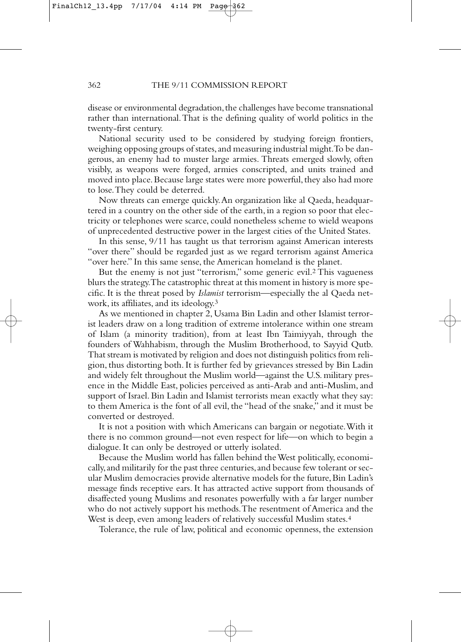disease or environmental degradation, the challenges have become transnational rather than international.That is the defining quality of world politics in the twenty-first century.

National security used to be considered by studying foreign frontiers, weighing opposing groups of states, and measuring industrial might. To be dangerous, an enemy had to muster large armies. Threats emerged slowly, often visibly, as weapons were forged, armies conscripted, and units trained and moved into place. Because large states were more powerful, they also had more to lose.They could be deterred.

Now threats can emerge quickly.An organization like al Qaeda, headquartered in a country on the other side of the earth, in a region so poor that electricity or telephones were scarce, could nonetheless scheme to wield weapons of unprecedented destructive power in the largest cities of the United States.

In this sense, 9/11 has taught us that terrorism against American interests "over there" should be regarded just as we regard terrorism against America "over here." In this same sense, the American homeland is the planet.

But the enemy is not just "terrorism," some generic evil.2 This vagueness blurs the strategy.The catastrophic threat at this moment in history is more specific. It is the threat posed by *Islamist* terrorism—especially the al Qaeda network, its affiliates, and its ideology.3

As we mentioned in chapter 2, Usama Bin Ladin and other Islamist terrorist leaders draw on a long tradition of extreme intolerance within one stream of Islam (a minority tradition), from at least Ibn Taimiyyah, through the founders of Wahhabism, through the Muslim Brotherhood, to Sayyid Qutb. That stream is motivated by religion and does not distinguish politics from religion, thus distorting both. It is further fed by grievances stressed by Bin Ladin and widely felt throughout the Muslim world—against the U.S. military presence in the Middle East, policies perceived as anti-Arab and anti-Muslim, and support of Israel. Bin Ladin and Islamist terrorists mean exactly what they say: to them America is the font of all evil, the "head of the snake," and it must be converted or destroyed.

It is not a position with which Americans can bargain or negotiate.With it there is no common ground—not even respect for life—on which to begin a dialogue. It can only be destroyed or utterly isolated.

Because the Muslim world has fallen behind the West politically, economically,and militarily for the past three centuries,and because few tolerant or secular Muslim democracies provide alternative models for the future, Bin Ladin's message finds receptive ears. It has attracted active support from thousands of disaffected young Muslims and resonates powerfully with a far larger number who do not actively support his methods.The resentment of America and the West is deep, even among leaders of relatively successful Muslim states.4

Tolerance, the rule of law, political and economic openness, the extension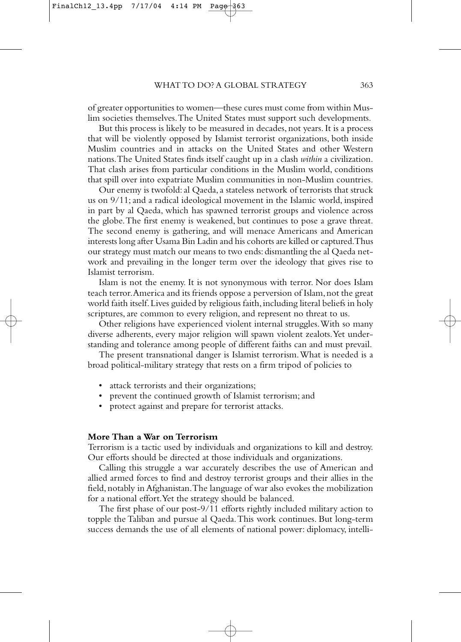of greater opportunities to women—these cures must come from within Muslim societies themselves.The United States must support such developments.

But this process is likely to be measured in decades, not years. It is a process that will be violently opposed by Islamist terrorist organizations, both inside Muslim countries and in attacks on the United States and other Western nations.The United States finds itself caught up in a clash *within* a civilization. That clash arises from particular conditions in the Muslim world, conditions that spill over into expatriate Muslim communities in non-Muslim countries.

Our enemy is twofold: al Qaeda, a stateless network of terrorists that struck us on 9/11; and a radical ideological movement in the Islamic world, inspired in part by al Qaeda, which has spawned terrorist groups and violence across the globe.The first enemy is weakened, but continues to pose a grave threat. The second enemy is gathering, and will menace Americans and American interests long after Usama Bin Ladin and his cohorts are killed or captured.Thus our strategy must match our means to two ends:dismantling the al Qaeda network and prevailing in the longer term over the ideology that gives rise to Islamist terrorism.

Islam is not the enemy. It is not synonymous with terror. Nor does Islam teach terror. America and its friends oppose a perversion of Islam, not the great world faith itself. Lives guided by religious faith, including literal beliefs in holy scriptures, are common to every religion, and represent no threat to us.

Other religions have experienced violent internal struggles.With so many diverse adherents, every major religion will spawn violent zealots.Yet understanding and tolerance among people of different faiths can and must prevail.

The present transnational danger is Islamist terrorism.What is needed is a broad political-military strategy that rests on a firm tripod of policies to

- attack terrorists and their organizations;
- prevent the continued growth of Islamist terrorism; and
- protect against and prepare for terrorist attacks.

#### **More Than a War on Terrorism**

Terrorism is a tactic used by individuals and organizations to kill and destroy. Our efforts should be directed at those individuals and organizations.

Calling this struggle a war accurately describes the use of American and allied armed forces to find and destroy terrorist groups and their allies in the field, notably in Afghanistan.The language of war also evokes the mobilization for a national effort.Yet the strategy should be balanced.

The first phase of our post-9/11 efforts rightly included military action to topple the Taliban and pursue al Qaeda.This work continues. But long-term success demands the use of all elements of national power: diplomacy, intelli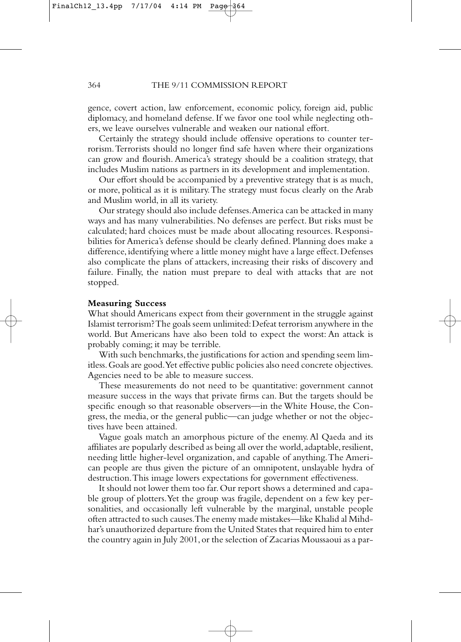gence, covert action, law enforcement, economic policy, foreign aid, public diplomacy, and homeland defense. If we favor one tool while neglecting others, we leave ourselves vulnerable and weaken our national effort.

Certainly the strategy should include offensive operations to counter terrorism.Terrorists should no longer find safe haven where their organizations can grow and flourish. America's strategy should be a coalition strategy, that includes Muslim nations as partners in its development and implementation.

Our effort should be accompanied by a preventive strategy that is as much, or more, political as it is military.The strategy must focus clearly on the Arab and Muslim world, in all its variety.

Our strategy should also include defenses.America can be attacked in many ways and has many vulnerabilities. No defenses are perfect. But risks must be calculated; hard choices must be made about allocating resources. Responsibilities for America's defense should be clearly defined. Planning does make a difference, identifying where a little money might have a large effect. Defenses also complicate the plans of attackers, increasing their risks of discovery and failure. Finally, the nation must prepare to deal with attacks that are not stopped.

## **Measuring Success**

What should Americans expect from their government in the struggle against Islamist terrorism? The goals seem unlimited:Defeat terrorism anywhere in the world. But Americans have also been told to expect the worst: An attack is probably coming; it may be terrible.

With such benchmarks, the justifications for action and spending seem limitless.Goals are good.Yet effective public policies also need concrete objectives. Agencies need to be able to measure success.

These measurements do not need to be quantitative: government cannot measure success in the ways that private firms can. But the targets should be specific enough so that reasonable observers—in the White House, the Congress, the media, or the general public—can judge whether or not the objectives have been attained.

Vague goals match an amorphous picture of the enemy. Al Qaeda and its affiliates are popularly described as being all over the world, adaptable, resilient, needing little higher-level organization, and capable of anything.The American people are thus given the picture of an omnipotent, unslayable hydra of destruction.This image lowers expectations for government effectiveness.

It should not lower them too far.Our report shows a determined and capable group of plotters.Yet the group was fragile, dependent on a few key personalities, and occasionally left vulnerable by the marginal, unstable people often attracted to such causes.The enemy made mistakes—like Khalid al Mihdhar's unauthorized departure from the United States that required him to enter the country again in July 2001, or the selection of Zacarias Moussaoui as a par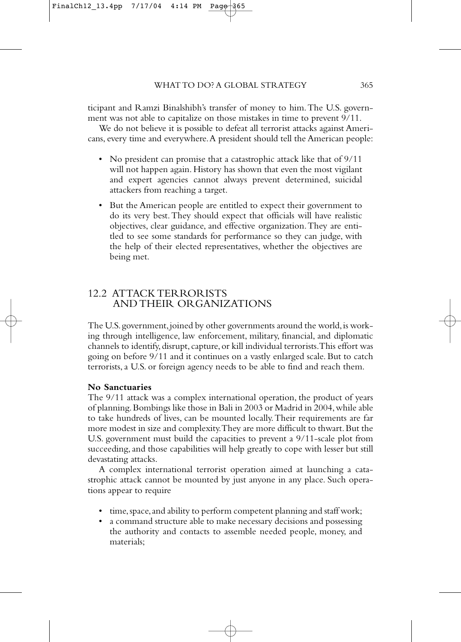ticipant and Ramzi Binalshibh's transfer of money to him.The U.S. government was not able to capitalize on those mistakes in time to prevent 9/11.

We do not believe it is possible to defeat all terrorist attacks against Americans, every time and everywhere.A president should tell the American people:

- No president can promise that a catastrophic attack like that of 9/11 will not happen again. History has shown that even the most vigilant and expert agencies cannot always prevent determined, suicidal attackers from reaching a target.
- But the American people are entitled to expect their government to do its very best.They should expect that officials will have realistic objectives, clear guidance, and effective organization.They are entitled to see some standards for performance so they can judge, with the help of their elected representatives, whether the objectives are being met.

# 12.2 ATTACK TERRORISTS AND THEIR ORGANIZATIONS

The U.S. government, joined by other governments around the world, is working through intelligence, law enforcement, military, financial, and diplomatic channels to identify, disrupt, capture, or kill individual terrorists. This effort was going on before 9/11 and it continues on a vastly enlarged scale. But to catch terrorists, a U.S. or foreign agency needs to be able to find and reach them.

# **No Sanctuaries**

The 9/11 attack was a complex international operation, the product of years of planning.Bombings like those in Bali in 2003 or Madrid in 2004,while able to take hundreds of lives, can be mounted locally.Their requirements are far more modest in size and complexity.They are more difficult to thwart.But the U.S. government must build the capacities to prevent a 9/11-scale plot from succeeding, and those capabilities will help greatly to cope with lesser but still devastating attacks.

A complex international terrorist operation aimed at launching a catastrophic attack cannot be mounted by just anyone in any place. Such operations appear to require

- time,space,and ability to perform competent planning and staff work;
- a command structure able to make necessary decisions and possessing the authority and contacts to assemble needed people, money, and materials;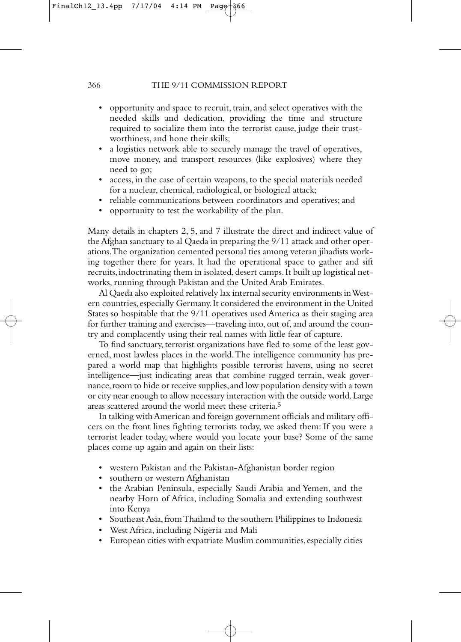- opportunity and space to recruit, train, and select operatives with the needed skills and dedication, providing the time and structure required to socialize them into the terrorist cause, judge their trustworthiness, and hone their skills;
- a logistics network able to securely manage the travel of operatives, move money, and transport resources (like explosives) where they need to go;
- access, in the case of certain weapons, to the special materials needed for a nuclear, chemical, radiological, or biological attack;
- reliable communications between coordinators and operatives; and
- opportunity to test the workability of the plan.

Many details in chapters 2, 5, and 7 illustrate the direct and indirect value of the Afghan sanctuary to al Qaeda in preparing the 9/11 attack and other operations.The organization cemented personal ties among veteran jihadists working together there for years. It had the operational space to gather and sift recruits, indoctrinating them in isolated, desert camps. It built up logistical networks, running through Pakistan and the United Arab Emirates.

Al Qaeda also exploited relatively lax internal security environments in Western countries, especially Germany. It considered the environment in the United States so hospitable that the 9/11 operatives used America as their staging area for further training and exercises—traveling into, out of, and around the country and complacently using their real names with little fear of capture.

To find sanctuary, terrorist organizations have fled to some of the least governed, most lawless places in the world.The intelligence community has prepared a world map that highlights possible terrorist havens, using no secret intelligence—just indicating areas that combine rugged terrain, weak governance, room to hide or receive supplies, and low population density with a town or city near enough to allow necessary interaction with the outside world.Large areas scattered around the world meet these criteria.5

In talking with American and foreign government officials and military officers on the front lines fighting terrorists today, we asked them: If you were a terrorist leader today, where would you locate your base? Some of the same places come up again and again on their lists:

- western Pakistan and the Pakistan-Afghanistan border region
- southern or western Afghanistan
- the Arabian Peninsula, especially Saudi Arabia and Yemen, and the nearby Horn of Africa, including Somalia and extending southwest into Kenya
- Southeast Asia,from Thailand to the southern Philippines to Indonesia
- West Africa, including Nigeria and Mali
- European cities with expatriate Muslim communities, especially cities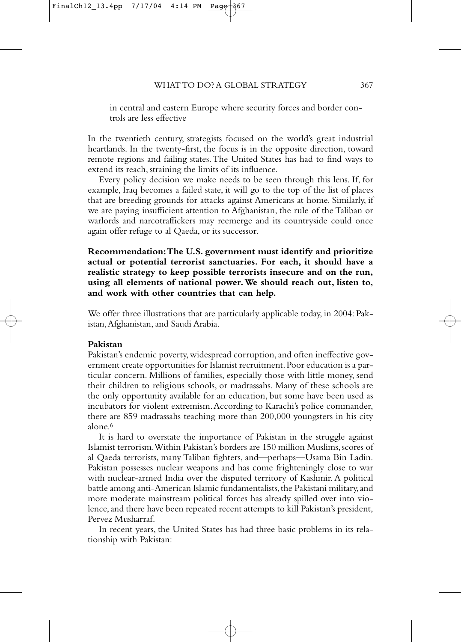in central and eastern Europe where security forces and border controls are less effective

In the twentieth century, strategists focused on the world's great industrial heartlands. In the twenty-first, the focus is in the opposite direction, toward remote regions and failing states.The United States has had to find ways to extend its reach, straining the limits of its influence.

Every policy decision we make needs to be seen through this lens. If, for example, Iraq becomes a failed state, it will go to the top of the list of places that are breeding grounds for attacks against Americans at home. Similarly, if we are paying insufficient attention to Afghanistan, the rule of the Taliban or warlords and narcotraffickers may reemerge and its countryside could once again offer refuge to al Qaeda, or its successor.

# **Recommendation:The U.S. government must identify and prioritize actual or potential terrorist sanctuaries. For each, it should have a realistic strategy to keep possible terrorists insecure and on the run, using all elements of national power.We should reach out, listen to, and work with other countries that can help.**

We offer three illustrations that are particularly applicable today, in 2004: Pakistan,Afghanistan, and Saudi Arabia.

#### **Pakistan**

Pakistan's endemic poverty, widespread corruption, and often ineffective government create opportunities for Islamist recruitment.Poor education is a particular concern. Millions of families, especially those with little money, send their children to religious schools, or madrassahs. Many of these schools are the only opportunity available for an education, but some have been used as incubators for violent extremism.According to Karachi's police commander, there are 859 madrassahs teaching more than 200,000 youngsters in his city alone.6

It is hard to overstate the importance of Pakistan in the struggle against Islamist terrorism. Within Pakistan's borders are 150 million Muslims, scores of al Qaeda terrorists, many Taliban fighters, and—perhaps—Usama Bin Ladin. Pakistan possesses nuclear weapons and has come frighteningly close to war with nuclear-armed India over the disputed territory of Kashmir. A political battle among anti-American Islamic fundamentalists, the Pakistani military, and more moderate mainstream political forces has already spilled over into violence, and there have been repeated recent attempts to kill Pakistan's president, Pervez Musharraf.

In recent years, the United States has had three basic problems in its relationship with Pakistan: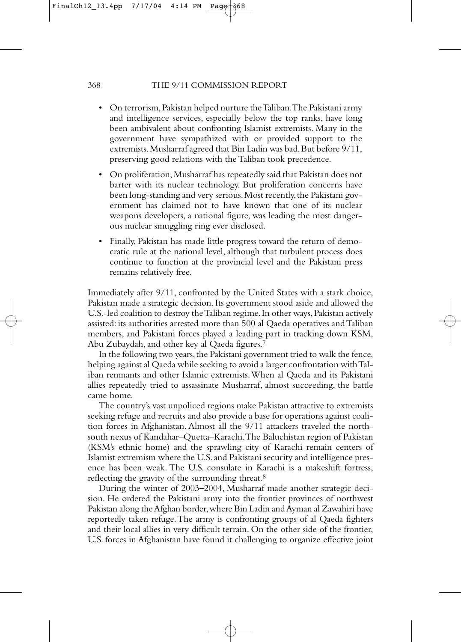- On terrorism,Pakistan helped nurture the Taliban.The Pakistani army and intelligence services, especially below the top ranks, have long been ambivalent about confronting Islamist extremists. Many in the government have sympathized with or provided support to the extremists.Musharraf agreed that Bin Ladin was bad.But before 9/11, preserving good relations with the Taliban took precedence.
- On proliferation, Musharraf has repeatedly said that Pakistan does not barter with its nuclear technology. But proliferation concerns have been long-standing and very serious. Most recently, the Pakistani government has claimed not to have known that one of its nuclear weapons developers, a national figure, was leading the most dangerous nuclear smuggling ring ever disclosed.
- Finally, Pakistan has made little progress toward the return of democratic rule at the national level, although that turbulent process does continue to function at the provincial level and the Pakistani press remains relatively free.

Immediately after 9/11, confronted by the United States with a stark choice, Pakistan made a strategic decision. Its government stood aside and allowed the U.S.-led coalition to destroy the Taliban regime. In other ways, Pakistan actively assisted: its authorities arrested more than 500 al Qaeda operatives and Taliban members, and Pakistani forces played a leading part in tracking down KSM, Abu Zubaydah, and other key al Qaeda figures.7

In the following two years, the Pakistani government tried to walk the fence, helping against al Qaeda while seeking to avoid a larger confrontation with Taliban remnants and other Islamic extremists.When al Qaeda and its Pakistani allies repeatedly tried to assassinate Musharraf, almost succeeding, the battle came home.

The country's vast unpoliced regions make Pakistan attractive to extremists seeking refuge and recruits and also provide a base for operations against coalition forces in Afghanistan. Almost all the 9/11 attackers traveled the northsouth nexus of Kandahar–Quetta–Karachi.The Baluchistan region of Pakistan (KSM's ethnic home) and the sprawling city of Karachi remain centers of Islamist extremism where the U.S.and Pakistani security and intelligence presence has been weak. The U.S. consulate in Karachi is a makeshift fortress, reflecting the gravity of the surrounding threat.8

During the winter of 2003–2004, Musharraf made another strategic decision. He ordered the Pakistani army into the frontier provinces of northwest Pakistan along the Afghan border,where Bin Ladin and Ayman al Zawahiri have reportedly taken refuge.The army is confronting groups of al Qaeda fighters and their local allies in very difficult terrain. On the other side of the frontier, U.S. forces in Afghanistan have found it challenging to organize effective joint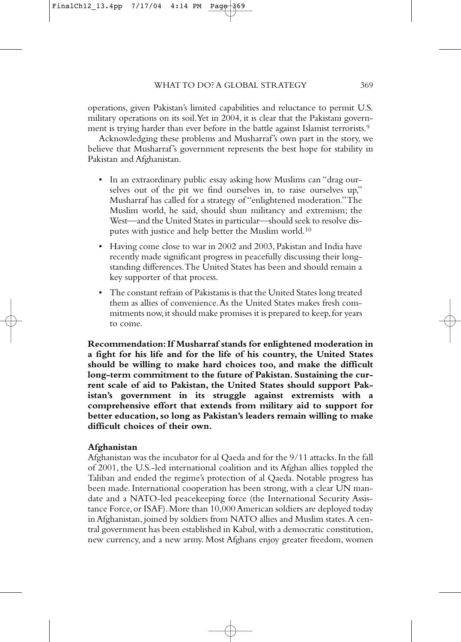operations, given Pakistan's limited capabilities and reluctance to permit U.S. military operations on its soil.Yet in 2004, it is clear that the Pakistani government is trying harder than ever before in the battle against Islamist terrorists.<sup>9</sup>

Acknowledging these problems and Musharraf's own part in the story, we believe that Musharraf's government represents the best hope for stability in Pakistan and Afghanistan.

- In an extraordinary public essay asking how Muslims can "drag ourselves out of the pit we find ourselves in, to raise ourselves up," Musharraf has called for a strategy of "enlightened moderation."The Muslim world, he said, should shun militancy and extremism; the West—and the United States in particular—should seek to resolve disputes with justice and help better the Muslim world.10
- Having come close to war in 2002 and 2003, Pakistan and India have recently made significant progress in peacefully discussing their longstanding differences.The United States has been and should remain a key supporter of that process.
- The constant refrain of Pakistanis is that the United States long treated them as allies of convenience.As the United States makes fresh commitments now, it should make promises it is prepared to keep, for years to come.

**Recommendation:If Musharraf stands for enlightened moderation in a fight for his life and for the life of his country, the United States should be willing to make hard choices too, and make the difficult long-term commitment to the future of Pakistan.Sustaining the current scale of aid to Pakistan, the United States should support Pakistan's government in its struggle against extremists with a comprehensive effort that extends from military aid to support for better education,so long as Pakistan's leaders remain willing to make difficult choices of their own.**

## **Afghanistan**

Afghanistan was the incubator for al Qaeda and for the 9/11 attacks.In the fall of 2001, the U.S.-led international coalition and its Afghan allies toppled the Taliban and ended the regime's protection of al Qaeda. Notable progress has been made. International cooperation has been strong, with a clear UN mandate and a NATO-led peacekeeping force (the International Security Assistance Force, or ISAF). More than 10,000 American soldiers are deployed today in Afghanistan, joined by soldiers from NATO allies and Muslim states.A central government has been established in Kabul,with a democratic constitution, new currency, and a new army. Most Afghans enjoy greater freedom, women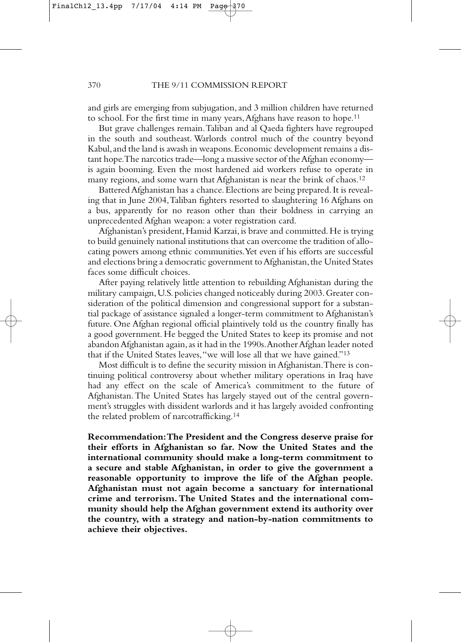and girls are emerging from subjugation, and 3 million children have returned to school. For the first time in many years, Afghans have reason to hope.<sup>11</sup>

But grave challenges remain.Taliban and al Qaeda fighters have regrouped in the south and southeast. Warlords control much of the country beyond Kabul,and the land is awash in weapons.Economic development remains a distant hope.The narcotics trade—long a massive sector of the Afghan economy is again booming. Even the most hardened aid workers refuse to operate in many regions, and some warn that Afghanistan is near the brink of chaos.12

Battered Afghanistan has a chance. Elections are being prepared. It is revealing that in June 2004,Taliban fighters resorted to slaughtering 16 Afghans on a bus, apparently for no reason other than their boldness in carrying an unprecedented Afghan weapon: a voter registration card.

Afghanistan's president, Hamid Karzai, is brave and committed. He is trying to build genuinely national institutions that can overcome the tradition of allocating powers among ethnic communities.Yet even if his efforts are successful and elections bring a democratic government to Afghanistan, the United States faces some difficult choices.

After paying relatively little attention to rebuilding Afghanistan during the military campaign, U.S. policies changed noticeably during 2003. Greater consideration of the political dimension and congressional support for a substantial package of assistance signaled a longer-term commitment to Afghanistan's future. One Afghan regional official plaintively told us the country finally has a good government. He begged the United States to keep its promise and not abandon Afghanistan again, as it had in the 1990s. Another Afghan leader noted that if the United States leaves,"we will lose all that we have gained."13

Most difficult is to define the security mission in Afghanistan.There is continuing political controversy about whether military operations in Iraq have had any effect on the scale of America's commitment to the future of Afghanistan.The United States has largely stayed out of the central government's struggles with dissident warlords and it has largely avoided confronting the related problem of narcotrafficking.14

**Recommendation:The President and the Congress deserve praise for their efforts in Afghanistan so far. Now the United States and the international community should make a long-term commitment to a secure and stable Afghanistan, in order to give the government a reasonable opportunity to improve the life of the Afghan people. Afghanistan must not again become a sanctuary for international crime and terrorism.The United States and the international community should help the Afghan government extend its authority over the country, with a strategy and nation-by-nation commitments to achieve their objectives.**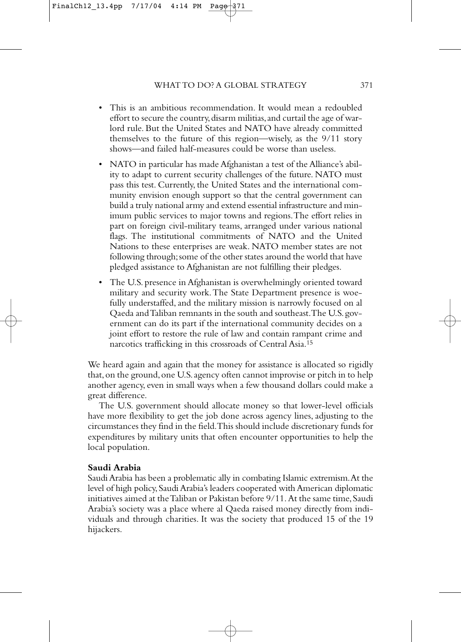- This is an ambitious recommendation. It would mean a redoubled effort to secure the country,disarm militias,and curtail the age of warlord rule. But the United States and NATO have already committed themselves to the future of this region—wisely, as the 9/11 story shows—and failed half-measures could be worse than useless.
- NATO in particular has made Afghanistan a test of the Alliance's ability to adapt to current security challenges of the future. NATO must pass this test. Currently, the United States and the international community envision enough support so that the central government can build a truly national army and extend essential infrastructure and minimum public services to major towns and regions.The effort relies in part on foreign civil-military teams, arranged under various national flags. The institutional commitments of NATO and the United Nations to these enterprises are weak. NATO member states are not following through; some of the other states around the world that have pledged assistance to Afghanistan are not fulfilling their pledges.
- The U.S. presence in Afghanistan is overwhelmingly oriented toward military and security work.The State Department presence is woefully understaffed, and the military mission is narrowly focused on al Qaeda and Taliban remnants in the south and southeast.The U.S.government can do its part if the international community decides on a joint effort to restore the rule of law and contain rampant crime and narcotics trafficking in this crossroads of Central Asia.15

We heard again and again that the money for assistance is allocated so rigidly that,on the ground,one U.S.agency often cannot improvise or pitch in to help another agency, even in small ways when a few thousand dollars could make a great difference.

The U.S. government should allocate money so that lower-level officials have more flexibility to get the job done across agency lines, adjusting to the circumstances they find in the field.This should include discretionary funds for expenditures by military units that often encounter opportunities to help the local population.

## **Saudi Arabia**

Saudi Arabia has been a problematic ally in combating Islamic extremism.At the level of high policy,Saudi Arabia's leaders cooperated with American diplomatic initiatives aimed at the Taliban or Pakistan before 9/11. At the same time, Saudi Arabia's society was a place where al Qaeda raised money directly from individuals and through charities. It was the society that produced 15 of the 19 hijackers.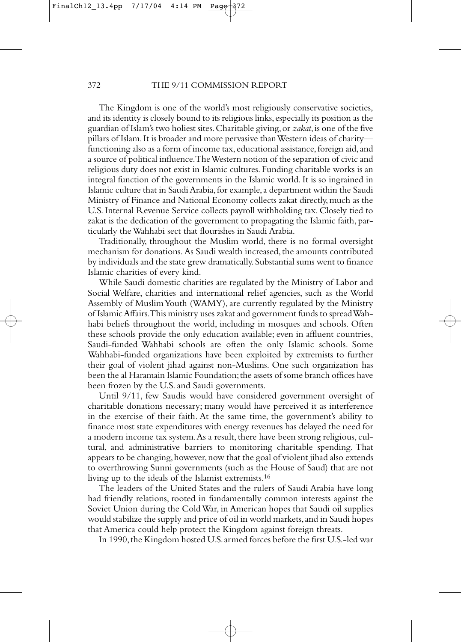The Kingdom is one of the world's most religiously conservative societies, and its identity is closely bound to its religious links, especially its position as the guardian of Islam's two holiest sites.Charitable giving,or *zakat*,is one of the five pillars of Islam.It is broader and more pervasive than Western ideas of charity functioning also as a form of income tax, educational assistance, foreign aid, and a source of political influence.The Western notion of the separation of civic and religious duty does not exist in Islamic cultures. Funding charitable works is an integral function of the governments in the Islamic world. It is so ingrained in Islamic culture that in Saudi Arabia, for example, a department within the Saudi Ministry of Finance and National Economy collects zakat directly, much as the U.S. Internal Revenue Service collects payroll withholding tax. Closely tied to zakat is the dedication of the government to propagating the Islamic faith, particularly the Wahhabi sect that flourishes in Saudi Arabia.

Traditionally, throughout the Muslim world, there is no formal oversight mechanism for donations. As Saudi wealth increased, the amounts contributed by individuals and the state grew dramatically.Substantial sums went to finance Islamic charities of every kind.

While Saudi domestic charities are regulated by the Ministry of Labor and Social Welfare, charities and international relief agencies, such as the World Assembly of Muslim Youth (WAMY), are currently regulated by the Ministry of Islamic Affairs.This ministry uses zakat and government funds to spread Wahhabi beliefs throughout the world, including in mosques and schools. Often these schools provide the only education available; even in affluent countries, Saudi-funded Wahhabi schools are often the only Islamic schools. Some Wahhabi-funded organizations have been exploited by extremists to further their goal of violent jihad against non-Muslims. One such organization has been the al Haramain Islamic Foundation;the assets of some branch offices have been frozen by the U.S. and Saudi governments.

Until 9/11, few Saudis would have considered government oversight of charitable donations necessary; many would have perceived it as interference in the exercise of their faith. At the same time, the government's ability to finance most state expenditures with energy revenues has delayed the need for a modern income tax system.As a result, there have been strong religious, cultural, and administrative barriers to monitoring charitable spending. That appears to be changing, however, now that the goal of violent jihad also extends to overthrowing Sunni governments (such as the House of Saud) that are not living up to the ideals of the Islamist extremists.16

The leaders of the United States and the rulers of Saudi Arabia have long had friendly relations, rooted in fundamentally common interests against the Soviet Union during the Cold War, in American hopes that Saudi oil supplies would stabilize the supply and price of oil in world markets, and in Saudi hopes that America could help protect the Kingdom against foreign threats.

In 1990, the Kingdom hosted U.S. armed forces before the first U.S.-led war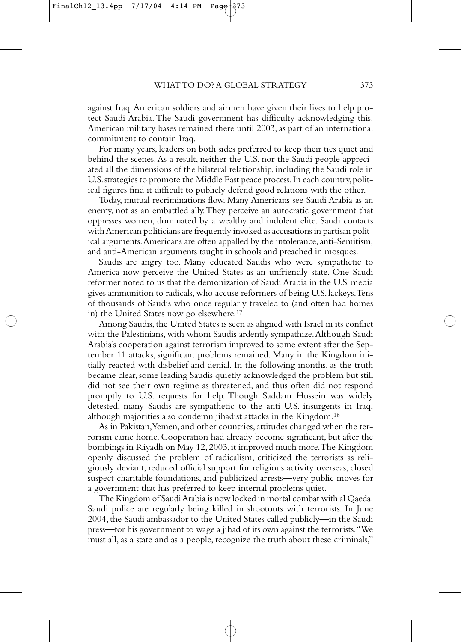against Iraq.American soldiers and airmen have given their lives to help protect Saudi Arabia. The Saudi government has difficulty acknowledging this. American military bases remained there until 2003, as part of an international commitment to contain Iraq.

For many years, leaders on both sides preferred to keep their ties quiet and behind the scenes.As a result, neither the U.S. nor the Saudi people appreciated all the dimensions of the bilateral relationship, including the Saudi role in U.S. strategies to promote the Middle East peace process. In each country, political figures find it difficult to publicly defend good relations with the other.

Today, mutual recriminations flow. Many Americans see Saudi Arabia as an enemy, not as an embattled ally.They perceive an autocratic government that oppresses women, dominated by a wealthy and indolent elite. Saudi contacts with American politicians are frequently invoked as accusations in partisan political arguments.Americans are often appalled by the intolerance, anti-Semitism, and anti-American arguments taught in schools and preached in mosques.

Saudis are angry too. Many educated Saudis who were sympathetic to America now perceive the United States as an unfriendly state. One Saudi reformer noted to us that the demonization of Saudi Arabia in the U.S. media gives ammunition to radicals, who accuse reformers of being U.S. lackeys.Tens of thousands of Saudis who once regularly traveled to (and often had homes in) the United States now go elsewhere.17

Among Saudis, the United States is seen as aligned with Israel in its conflict with the Palestinians, with whom Saudis ardently sympathize.Although Saudi Arabia's cooperation against terrorism improved to some extent after the September 11 attacks, significant problems remained. Many in the Kingdom initially reacted with disbelief and denial. In the following months, as the truth became clear, some leading Saudis quietly acknowledged the problem but still did not see their own regime as threatened, and thus often did not respond promptly to U.S. requests for help. Though Saddam Hussein was widely detested, many Saudis are sympathetic to the anti-U.S. insurgents in Iraq, although majorities also condemn jihadist attacks in the Kingdom.18

As in Pakistan, Yemen, and other countries, attitudes changed when the terrorism came home. Cooperation had already become significant, but after the bombings in Riyadh on May 12, 2003, it improved much more. The Kingdom openly discussed the problem of radicalism, criticized the terrorists as religiously deviant, reduced official support for religious activity overseas, closed suspect charitable foundations, and publicized arrests—very public moves for a government that has preferred to keep internal problems quiet.

The Kingdom of Saudi Arabia is now locked in mortal combat with al Qaeda. Saudi police are regularly being killed in shootouts with terrorists. In June 2004, the Saudi ambassador to the United States called publicly—in the Saudi press—for his government to wage a jihad of its own against the terrorists."We must all, as a state and as a people, recognize the truth about these criminals,"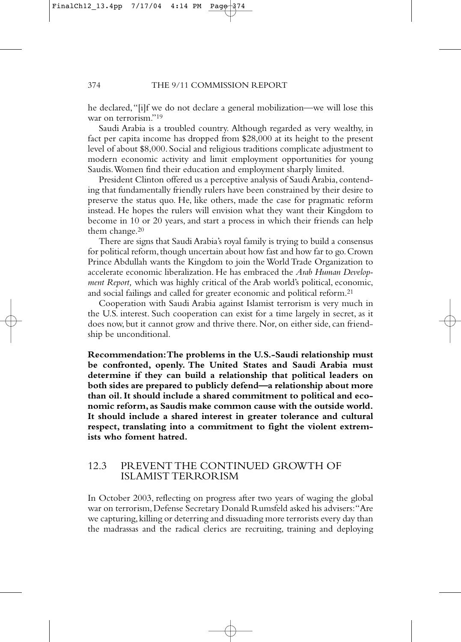he declared,"[i]f we do not declare a general mobilization—we will lose this war on terrorism."19

Saudi Arabia is a troubled country. Although regarded as very wealthy, in fact per capita income has dropped from \$28,000 at its height to the present level of about \$8,000. Social and religious traditions complicate adjustment to modern economic activity and limit employment opportunities for young Saudis.Women find their education and employment sharply limited.

President Clinton offered us a perceptive analysis of Saudi Arabia, contending that fundamentally friendly rulers have been constrained by their desire to preserve the status quo. He, like others, made the case for pragmatic reform instead. He hopes the rulers will envision what they want their Kingdom to become in 10 or 20 years, and start a process in which their friends can help them change.20

There are signs that Saudi Arabia's royal family is trying to build a consensus for political reform, though uncertain about how fast and how far to go. Crown Prince Abdullah wants the Kingdom to join the World Trade Organization to accelerate economic liberalization. He has embraced the *Arab Human Development Report,* which was highly critical of the Arab world's political, economic, and social failings and called for greater economic and political reform.21

Cooperation with Saudi Arabia against Islamist terrorism is very much in the U.S. interest. Such cooperation can exist for a time largely in secret, as it does now, but it cannot grow and thrive there. Nor, on either side, can friendship be unconditional.

**Recommendation:The problems in the U.S.-Saudi relationship must be confronted, openly. The United States and Saudi Arabia must determine if they can build a relationship that political leaders on both sides are prepared to publicly defend—a relationship about more than oil. It should include a shared commitment to political and economic reform,as Saudis make common cause with the outside world. It should include a shared interest in greater tolerance and cultural respect, translating into a commitment to fight the violent extremists who foment hatred.**

# 12.3 PREVENT THE CONTINUED GROWTH OF ISLAMIST TERRORISM

In October 2003, reflecting on progress after two years of waging the global war on terrorism,Defense Secretary Donald Rumsfeld asked his advisers:"Are we capturing,killing or deterring and dissuading more terrorists every day than the madrassas and the radical clerics are recruiting, training and deploying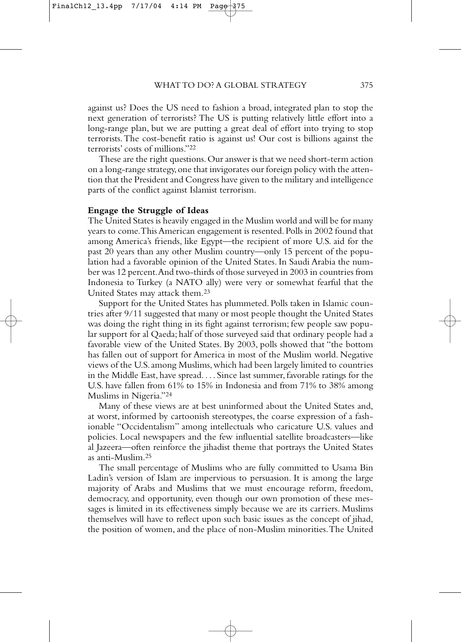against us? Does the US need to fashion a broad, integrated plan to stop the next generation of terrorists? The US is putting relatively little effort into a long-range plan, but we are putting a great deal of effort into trying to stop terrorists.The cost-benefit ratio is against us! Our cost is billions against the terrorists' costs of millions."22

These are the right questions.Our answer is that we need short-term action on a long-range strategy,one that invigorates our foreign policy with the attention that the President and Congress have given to the military and intelligence parts of the conflict against Islamist terrorism.

#### **Engage the Struggle of Ideas**

The United States is heavily engaged in the Muslim world and will be for many years to come.This American engagement is resented.Polls in 2002 found that among America's friends, like Egypt—the recipient of more U.S. aid for the past 20 years than any other Muslim country—only 15 percent of the population had a favorable opinion of the United States. In Saudi Arabia the number was 12 percent.And two-thirds of those surveyed in 2003 in countries from Indonesia to Turkey (a NATO ally) were very or somewhat fearful that the United States may attack them.23

Support for the United States has plummeted. Polls taken in Islamic countries after 9/11 suggested that many or most people thought the United States was doing the right thing in its fight against terrorism; few people saw popular support for al Qaeda; half of those surveyed said that ordinary people had a favorable view of the United States. By 2003, polls showed that "the bottom has fallen out of support for America in most of the Muslim world. Negative views of the U.S.among Muslims,which had been largely limited to countries in the Middle East, have spread. . . . Since last summer, favorable ratings for the U.S. have fallen from 61% to 15% in Indonesia and from 71% to 38% among Muslims in Nigeria."24

Many of these views are at best uninformed about the United States and, at worst, informed by cartoonish stereotypes, the coarse expression of a fashionable "Occidentalism" among intellectuals who caricature U.S. values and policies. Local newspapers and the few influential satellite broadcasters—like al Jazeera—often reinforce the jihadist theme that portrays the United States as anti-Muslim.25

The small percentage of Muslims who are fully committed to Usama Bin Ladin's version of Islam are impervious to persuasion. It is among the large majority of Arabs and Muslims that we must encourage reform, freedom, democracy, and opportunity, even though our own promotion of these messages is limited in its effectiveness simply because we are its carriers. Muslims themselves will have to reflect upon such basic issues as the concept of jihad, the position of women, and the place of non-Muslim minorities.The United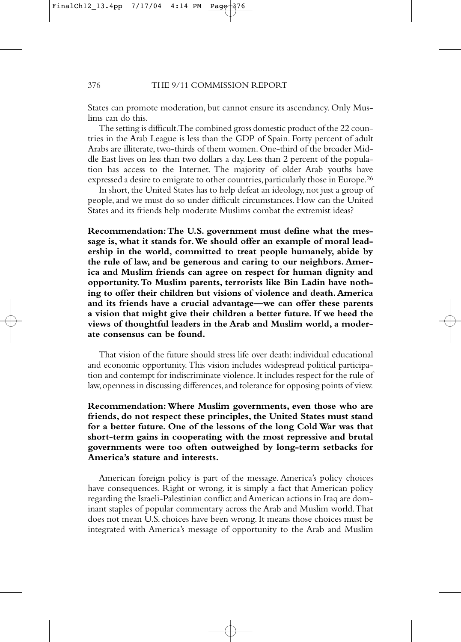States can promote moderation, but cannot ensure its ascendancy. Only Muslims can do this.

The setting is difficult.The combined gross domestic product of the 22 countries in the Arab League is less than the GDP of Spain. Forty percent of adult Arabs are illiterate, two-thirds of them women. One-third of the broader Middle East lives on less than two dollars a day. Less than 2 percent of the population has access to the Internet. The majority of older Arab youths have expressed a desire to emigrate to other countries, particularly those in Europe.<sup>26</sup>

In short, the United States has to help defeat an ideology, not just a group of people, and we must do so under difficult circumstances. How can the United States and its friends help moderate Muslims combat the extremist ideas?

**Recommendation:The U.S. government must define what the message is, what it stands for.We should offer an example of moral leadership in the world, committed to treat people humanely, abide by the rule of law, and be generous and caring to our neighbors.America and Muslim friends can agree on respect for human dignity and opportunity.To Muslim parents, terrorists like Bin Ladin have nothing to offer their children but visions of violence and death.America and its friends have a crucial advantage—we can offer these parents a vision that might give their children a better future. If we heed the views of thoughtful leaders in the Arab and Muslim world, a moderate consensus can be found.**

That vision of the future should stress life over death: individual educational and economic opportunity. This vision includes widespread political participation and contempt for indiscriminate violence.It includes respect for the rule of law,openness in discussing differences,and tolerance for opposing points of view.

# **Recommendation:Where Muslim governments, even those who are friends, do not respect these principles, the United States must stand for a better future. One of the lessons of the long Cold War was that short-term gains in cooperating with the most repressive and brutal governments were too often outweighed by long-term setbacks for America's stature and interests.**

American foreign policy is part of the message. America's policy choices have consequences. Right or wrong, it is simply a fact that American policy regarding the Israeli-Palestinian conflict and American actions in Iraq are dominant staples of popular commentary across the Arab and Muslim world.That does not mean U.S. choices have been wrong. It means those choices must be integrated with America's message of opportunity to the Arab and Muslim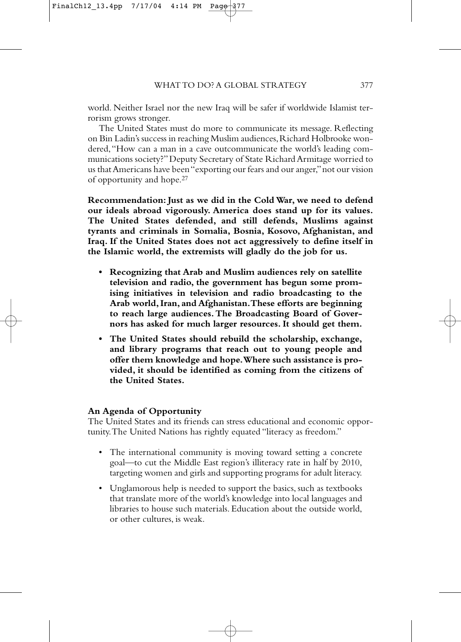world. Neither Israel nor the new Iraq will be safer if worldwide Islamist terrorism grows stronger.

The United States must do more to communicate its message. Reflecting on Bin Ladin's success in reaching Muslim audiences,Richard Holbrooke wondered,"How can a man in a cave outcommunicate the world's leading communications society?"Deputy Secretary of State Richard Armitage worried to us that Americans have been "exporting our fears and our anger,"not our vision of opportunity and hope.27

**Recommendation: Just as we did in the Cold War, we need to defend our ideals abroad vigorously. America does stand up for its values. The United States defended, and still defends, Muslims against tyrants and criminals in Somalia, Bosnia, Kosovo, Afghanistan, and Iraq. If the United States does not act aggressively to define itself in the Islamic world, the extremists will gladly do the job for us.**

- **Recognizing that Arab and Muslim audiences rely on satellite television and radio, the government has begun some promising initiatives in television and radio broadcasting to the Arab world,Iran,and Afghanistan.These efforts are beginning to reach large audiences.The Broadcasting Board of Governors has asked for much larger resources. It should get them.**
- **The United States should rebuild the scholarship, exchange, and library programs that reach out to young people and offer them knowledge and hope.Where such assistance is provided, it should be identified as coming from the citizens of the United States.**

## **An Agenda of Opportunity**

The United States and its friends can stress educational and economic opportunity.The United Nations has rightly equated "literacy as freedom."

- The international community is moving toward setting a concrete goal—to cut the Middle East region's illiteracy rate in half by 2010, targeting women and girls and supporting programs for adult literacy.
- Unglamorous help is needed to support the basics, such as textbooks that translate more of the world's knowledge into local languages and libraries to house such materials. Education about the outside world, or other cultures, is weak.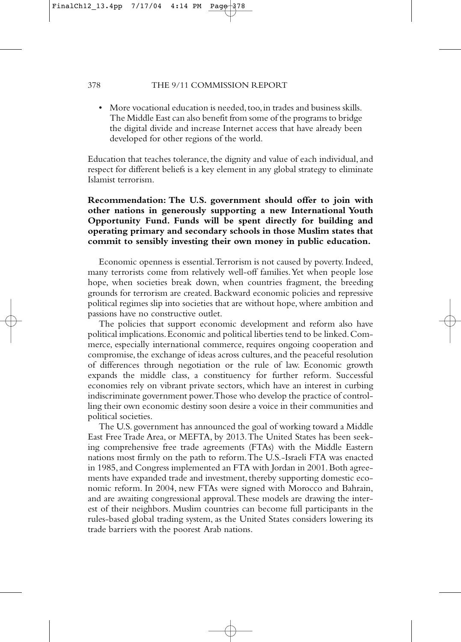• More vocational education is needed, too, in trades and business skills. The Middle East can also benefit from some of the programs to bridge the digital divide and increase Internet access that have already been developed for other regions of the world.

Education that teaches tolerance, the dignity and value of each individual, and respect for different beliefs is a key element in any global strategy to eliminate Islamist terrorism.

# **Recommendation: The U.S. government should offer to join with other nations in generously supporting a new International Youth Opportunity Fund. Funds will be spent directly for building and operating primary and secondary schools in those Muslim states that commit to sensibly investing their own money in public education.**

Economic openness is essential.Terrorism is not caused by poverty. Indeed, many terrorists come from relatively well-off families.Yet when people lose hope, when societies break down, when countries fragment, the breeding grounds for terrorism are created. Backward economic policies and repressive political regimes slip into societies that are without hope, where ambition and passions have no constructive outlet.

The policies that support economic development and reform also have political implications.Economic and political liberties tend to be linked.Commerce, especially international commerce, requires ongoing cooperation and compromise, the exchange of ideas across cultures, and the peaceful resolution of differences through negotiation or the rule of law. Economic growth expands the middle class, a constituency for further reform. Successful economies rely on vibrant private sectors, which have an interest in curbing indiscriminate government power.Those who develop the practice of controlling their own economic destiny soon desire a voice in their communities and political societies.

The U.S. government has announced the goal of working toward a Middle East Free Trade Area, or MEFTA, by 2013.The United States has been seeking comprehensive free trade agreements (FTAs) with the Middle Eastern nations most firmly on the path to reform.The U.S.-Israeli FTA was enacted in 1985, and Congress implemented an FTA with Jordan in 2001. Both agreements have expanded trade and investment, thereby supporting domestic economic reform. In 2004, new FTAs were signed with Morocco and Bahrain, and are awaiting congressional approval.These models are drawing the interest of their neighbors. Muslim countries can become full participants in the rules-based global trading system, as the United States considers lowering its trade barriers with the poorest Arab nations.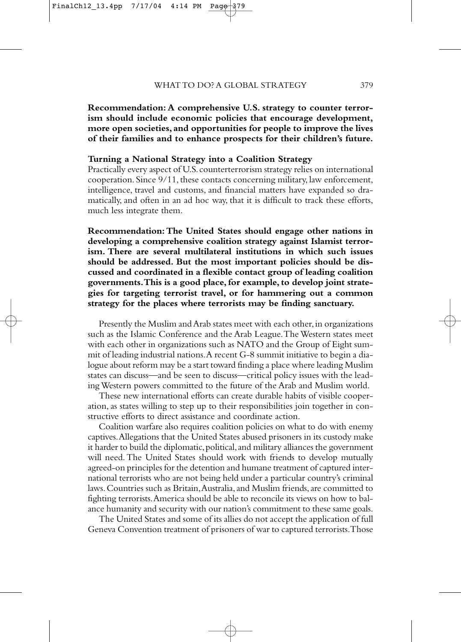**Recommendation:A comprehensive U.S. strategy to counter terrorism should include economic policies that encourage development, more open societies,and opportunities for people to improve the lives of their families and to enhance prospects for their children's future.**

#### **Turning a National Strategy into a Coalition Strategy**

Practically every aspect of U.S.counterterrorism strategy relies on international cooperation. Since 9/11, these contacts concerning military, law enforcement, intelligence, travel and customs, and financial matters have expanded so dramatically, and often in an ad hoc way, that it is difficult to track these efforts, much less integrate them.

**Recommendation:The United States should engage other nations in developing a comprehensive coalition strategy against Islamist terrorism. There are several multilateral institutions in which such issues should be addressed. But the most important policies should be discussed and coordinated in a flexible contact group of leading coalition** governments. This is a good place, for example, to develop joint strate**gies for targeting terrorist travel, or for hammering out a common strategy for the places where terrorists may be finding sanctuary.**

Presently the Muslim and Arab states meet with each other, in organizations such as the Islamic Conference and the Arab League.The Western states meet with each other in organizations such as NATO and the Group of Eight summit of leading industrial nations.A recent G-8 summit initiative to begin a dialogue about reform may be a start toward finding a place where leading Muslim states can discuss—and be seen to discuss—critical policy issues with the leading Western powers committed to the future of the Arab and Muslim world.

These new international efforts can create durable habits of visible cooperation, as states willing to step up to their responsibilities join together in constructive efforts to direct assistance and coordinate action.

Coalition warfare also requires coalition policies on what to do with enemy captives.Allegations that the United States abused prisoners in its custody make it harder to build the diplomatic, political, and military alliances the government will need. The United States should work with friends to develop mutually agreed-on principles for the detention and humane treatment of captured international terrorists who are not being held under a particular country's criminal laws.Countries such as Britain,Australia,and Muslim friends,are committed to fighting terrorists.America should be able to reconcile its views on how to balance humanity and security with our nation's commitment to these same goals.

The United States and some of its allies do not accept the application of full Geneva Convention treatment of prisoners of war to captured terrorists.Those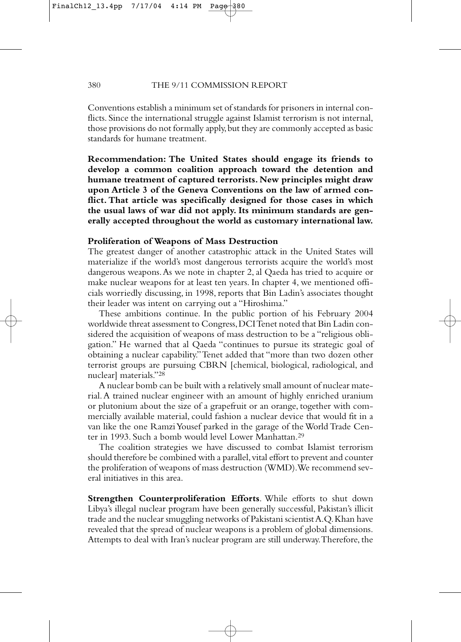Conventions establish a minimum set of standards for prisoners in internal conflicts. Since the international struggle against Islamist terrorism is not internal, those provisions do not formally apply,but they are commonly accepted as basic standards for humane treatment.

**Recommendation: The United States should engage its friends to develop a common coalition approach toward the detention and humane treatment of captured terrorists. New principles might draw upon Article 3 of the Geneva Conventions on the law of armed conflict. That article was specifically designed for those cases in which the usual laws of war did not apply. Its minimum standards are generally accepted throughout the world as customary international law.**

#### **Proliferation of Weapons of Mass Destruction**

The greatest danger of another catastrophic attack in the United States will materialize if the world's most dangerous terrorists acquire the world's most dangerous weapons.As we note in chapter 2, al Qaeda has tried to acquire or make nuclear weapons for at least ten years. In chapter 4, we mentioned officials worriedly discussing, in 1998, reports that Bin Ladin's associates thought their leader was intent on carrying out a "Hiroshima."

These ambitions continue. In the public portion of his February 2004 worldwide threat assessment to Congress, DCI Tenet noted that Bin Ladin considered the acquisition of weapons of mass destruction to be a "religious obligation." He warned that al Qaeda "continues to pursue its strategic goal of obtaining a nuclear capability."Tenet added that "more than two dozen other terrorist groups are pursuing CBRN [chemical, biological, radiological, and nuclear] materials."28

A nuclear bomb can be built with a relatively small amount of nuclear material.A trained nuclear engineer with an amount of highly enriched uranium or plutonium about the size of a grapefruit or an orange, together with commercially available material, could fashion a nuclear device that would fit in a van like the one Ramzi Yousef parked in the garage of the World Trade Center in 1993. Such a bomb would level Lower Manhattan.29

The coalition strategies we have discussed to combat Islamist terrorism should therefore be combined with a parallel, vital effort to prevent and counter the proliferation of weapons of mass destruction (WMD).We recommend several initiatives in this area.

**Strengthen Counterproliferation Efforts**. While efforts to shut down Libya's illegal nuclear program have been generally successful, Pakistan's illicit trade and the nuclear smuggling networks of Pakistani scientist A.Q.Khan have revealed that the spread of nuclear weapons is a problem of global dimensions. Attempts to deal with Iran's nuclear program are still underway.Therefore, the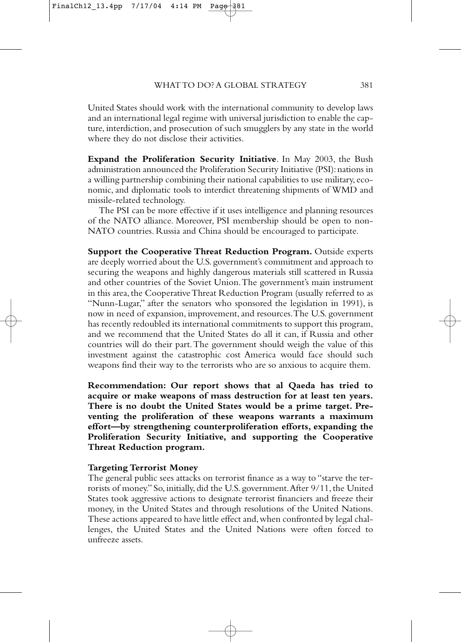United States should work with the international community to develop laws and an international legal regime with universal jurisdiction to enable the capture, interdiction, and prosecution of such smugglers by any state in the world where they do not disclose their activities.

**Expand the Proliferation Security Initiative**. In May 2003, the Bush administration announced the Proliferation Security Initiative (PSI): nations in a willing partnership combining their national capabilities to use military,economic, and diplomatic tools to interdict threatening shipments of WMD and missile-related technology.

The PSI can be more effective if it uses intelligence and planning resources of the NATO alliance. Moreover, PSI membership should be open to non-NATO countries. Russia and China should be encouraged to participate.

**Support the Cooperative Threat Reduction Program.** Outside experts are deeply worried about the U.S.government's commitment and approach to securing the weapons and highly dangerous materials still scattered in Russia and other countries of the Soviet Union.The government's main instrument in this area, the Cooperative Threat Reduction Program (usually referred to as "Nunn-Lugar," after the senators who sponsored the legislation in 1991), is now in need of expansion, improvement, and resources.The U.S. government has recently redoubled its international commitments to support this program, and we recommend that the United States do all it can, if Russia and other countries will do their part.The government should weigh the value of this investment against the catastrophic cost America would face should such weapons find their way to the terrorists who are so anxious to acquire them.

**Recommendation: Our report shows that al Qaeda has tried to acquire or make weapons of mass destruction for at least ten years. There is no doubt the United States would be a prime target. Preventing the proliferation of these weapons warrants a maximum effort—by strengthening counterproliferation efforts, expanding the Proliferation Security Initiative, and supporting the Cooperative Threat Reduction program.**

#### **Targeting Terrorist Money**

The general public sees attacks on terrorist finance as a way to "starve the terrorists of money." So, initially, did the U.S. government.After 9/11, the United States took aggressive actions to designate terrorist financiers and freeze their money, in the United States and through resolutions of the United Nations. These actions appeared to have little effect and,when confronted by legal challenges, the United States and the United Nations were often forced to unfreeze assets.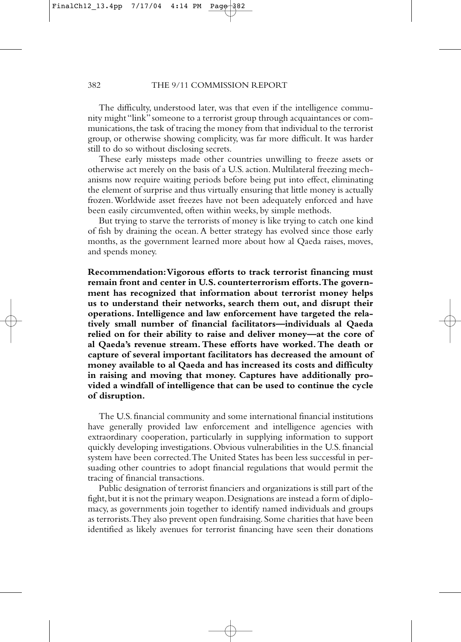The difficulty, understood later, was that even if the intelligence community might "link"someone to a terrorist group through acquaintances or communications, the task of tracing the money from that individual to the terrorist group, or otherwise showing complicity, was far more difficult. It was harder still to do so without disclosing secrets.

These early missteps made other countries unwilling to freeze assets or otherwise act merely on the basis of a U.S. action. Multilateral freezing mechanisms now require waiting periods before being put into effect, eliminating the element of surprise and thus virtually ensuring that little money is actually frozen.Worldwide asset freezes have not been adequately enforced and have been easily circumvented, often within weeks, by simple methods.

But trying to starve the terrorists of money is like trying to catch one kind of fish by draining the ocean. A better strategy has evolved since those early months, as the government learned more about how al Qaeda raises, moves, and spends money.

**Recommendation:Vigorous efforts to track terrorist financing must remain front and center in U.S.counterterrorism efforts.The government has recognized that information about terrorist money helps us to understand their networks, search them out, and disrupt their operations. Intelligence and law enforcement have targeted the relatively small number of financial facilitators—individuals al Qaeda relied on for their ability to raise and deliver money—at the core of al Qaeda's revenue stream.These efforts have worked.The death or capture of several important facilitators has decreased the amount of money available to al Qaeda and has increased its costs and difficulty in raising and moving that money. Captures have additionally provided a windfall of intelligence that can be used to continue the cycle of disruption.**

The U.S. financial community and some international financial institutions have generally provided law enforcement and intelligence agencies with extraordinary cooperation, particularly in supplying information to support quickly developing investigations. Obvious vulnerabilities in the U.S. financial system have been corrected.The United States has been less successful in persuading other countries to adopt financial regulations that would permit the tracing of financial transactions.

Public designation of terrorist financiers and organizations is still part of the fight, but it is not the primary weapon. Designations are instead a form of diplomacy, as governments join together to identify named individuals and groups as terrorists.They also prevent open fundraising.Some charities that have been identified as likely avenues for terrorist financing have seen their donations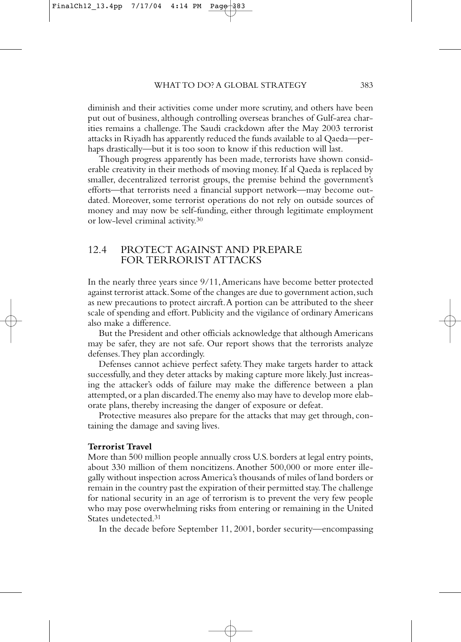diminish and their activities come under more scrutiny, and others have been put out of business, although controlling overseas branches of Gulf-area charities remains a challenge.The Saudi crackdown after the May 2003 terrorist attacks in Riyadh has apparently reduced the funds available to al Qaeda—perhaps drastically—but it is too soon to know if this reduction will last.

Though progress apparently has been made, terrorists have shown considerable creativity in their methods of moving money. If al Qaeda is replaced by smaller, decentralized terrorist groups, the premise behind the government's efforts—that terrorists need a financial support network—may become outdated. Moreover, some terrorist operations do not rely on outside sources of money and may now be self-funding, either through legitimate employment or low-level criminal activity.30

# 12.4 PROTECT AGAINST AND PREPARE FOR TERRORIST ATTACKS

In the nearly three years since 9/11,Americans have become better protected against terrorist attack. Some of the changes are due to government action, such as new precautions to protect aircraft.A portion can be attributed to the sheer scale of spending and effort. Publicity and the vigilance of ordinary Americans also make a difference.

But the President and other officials acknowledge that although Americans may be safer, they are not safe. Our report shows that the terrorists analyze defenses.They plan accordingly.

Defenses cannot achieve perfect safety.They make targets harder to attack successfully, and they deter attacks by making capture more likely. Just increasing the attacker's odds of failure may make the difference between a plan attempted,or a plan discarded.The enemy also may have to develop more elaborate plans, thereby increasing the danger of exposure or defeat.

Protective measures also prepare for the attacks that may get through, containing the damage and saving lives.

# **Terrorist Travel**

More than 500 million people annually cross U.S. borders at legal entry points, about 330 million of them noncitizens. Another 500,000 or more enter illegally without inspection across America's thousands of miles of land borders or remain in the country past the expiration of their permitted stay.The challenge for national security in an age of terrorism is to prevent the very few people who may pose overwhelming risks from entering or remaining in the United States undetected.31

In the decade before September 11, 2001, border security—encompassing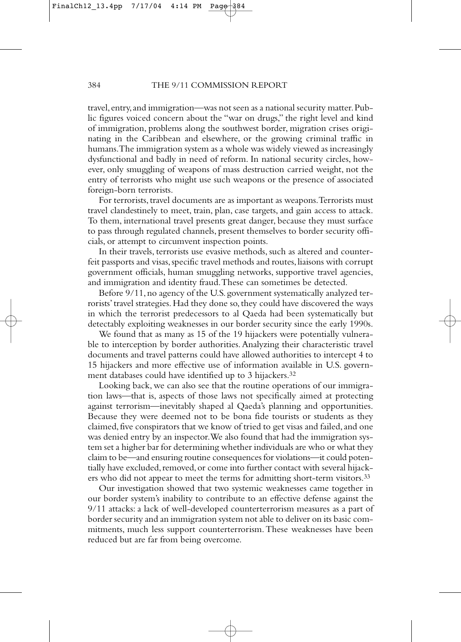travel,entry,and immigration—was not seen as a national security matter.Public figures voiced concern about the "war on drugs," the right level and kind of immigration, problems along the southwest border, migration crises originating in the Caribbean and elsewhere, or the growing criminal traffic in humans.The immigration system as a whole was widely viewed as increasingly dysfunctional and badly in need of reform. In national security circles, however, only smuggling of weapons of mass destruction carried weight, not the entry of terrorists who might use such weapons or the presence of associated foreign-born terrorists.

For terrorists, travel documents are as important as weapons.Terrorists must travel clandestinely to meet, train, plan, case targets, and gain access to attack. To them, international travel presents great danger, because they must surface to pass through regulated channels, present themselves to border security officials, or attempt to circumvent inspection points.

In their travels, terrorists use evasive methods, such as altered and counterfeit passports and visas, specific travel methods and routes, liaisons with corrupt government officials, human smuggling networks, supportive travel agencies, and immigration and identity fraud.These can sometimes be detected.

Before 9/11,no agency of the U.S.government systematically analyzed terrorists' travel strategies. Had they done so, they could have discovered the ways in which the terrorist predecessors to al Qaeda had been systematically but detectably exploiting weaknesses in our border security since the early 1990s.

We found that as many as 15 of the 19 hijackers were potentially vulnerable to interception by border authorities.Analyzing their characteristic travel documents and travel patterns could have allowed authorities to intercept 4 to 15 hijackers and more effective use of information available in U.S. government databases could have identified up to 3 hijackers.32

Looking back, we can also see that the routine operations of our immigration laws—that is, aspects of those laws not specifically aimed at protecting against terrorism—inevitably shaped al Qaeda's planning and opportunities. Because they were deemed not to be bona fide tourists or students as they claimed, five conspirators that we know of tried to get visas and failed, and one was denied entry by an inspector.We also found that had the immigration system set a higher bar for determining whether individuals are who or what they claim to be—and ensuring routine consequences for violations—it could potentially have excluded, removed, or come into further contact with several hijackers who did not appear to meet the terms for admitting short-term visitors.33

Our investigation showed that two systemic weaknesses came together in our border system's inability to contribute to an effective defense against the 9/11 attacks: a lack of well-developed counterterrorism measures as a part of border security and an immigration system not able to deliver on its basic commitments, much less support counterterrorism. These weaknesses have been reduced but are far from being overcome.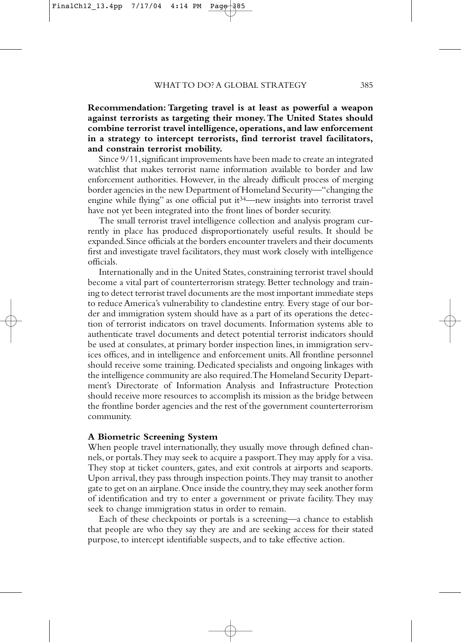**Recommendation: Targeting travel is at least as powerful a weapon against terrorists as targeting their money.The United States should combine terrorist travel intelligence,operations,and law enforcement in a strategy to intercept terrorists, find terrorist travel facilitators, and constrain terrorist mobility.**

Since 9/11,significant improvements have been made to create an integrated watchlist that makes terrorist name information available to border and law enforcement authorities. However, in the already difficult process of merging border agencies in the new Department of Homeland Security—"changing the engine while flying" as one official put it34—new insights into terrorist travel have not yet been integrated into the front lines of border security.

The small terrorist travel intelligence collection and analysis program currently in place has produced disproportionately useful results. It should be expanded.Since officials at the borders encounter travelers and their documents first and investigate travel facilitators, they must work closely with intelligence officials.

Internationally and in the United States, constraining terrorist travel should become a vital part of counterterrorism strategy. Better technology and training to detect terrorist travel documents are the most important immediate steps to reduce America's vulnerability to clandestine entry. Every stage of our border and immigration system should have as a part of its operations the detection of terrorist indicators on travel documents. Information systems able to authenticate travel documents and detect potential terrorist indicators should be used at consulates, at primary border inspection lines, in immigration services offices, and in intelligence and enforcement units.All frontline personnel should receive some training. Dedicated specialists and ongoing linkages with the intelligence community are also required.The Homeland Security Department's Directorate of Information Analysis and Infrastructure Protection should receive more resources to accomplish its mission as the bridge between the frontline border agencies and the rest of the government counterterrorism community.

## **A Biometric Screening System**

When people travel internationally, they usually move through defined channels, or portals.They may seek to acquire a passport.They may apply for a visa. They stop at ticket counters, gates, and exit controls at airports and seaports. Upon arrival, they pass through inspection points.They may transit to another gate to get on an airplane.Once inside the country,they may seek another form of identification and try to enter a government or private facility.They may seek to change immigration status in order to remain.

Each of these checkpoints or portals is a screening—a chance to establish that people are who they say they are and are seeking access for their stated purpose, to intercept identifiable suspects, and to take effective action.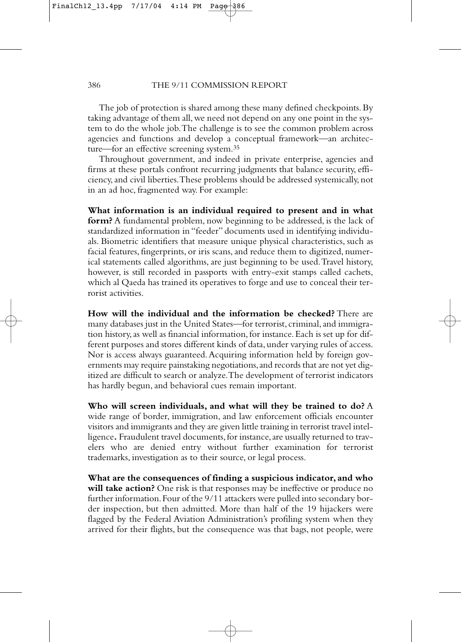The job of protection is shared among these many defined checkpoints. By taking advantage of them all, we need not depend on any one point in the system to do the whole job.The challenge is to see the common problem across agencies and functions and develop a conceptual framework—an architecture—for an effective screening system.35

Throughout government, and indeed in private enterprise, agencies and firms at these portals confront recurring judgments that balance security, efficiency, and civil liberties.These problems should be addressed systemically, not in an ad hoc, fragmented way. For example:

**What information is an individual required to present and in what form?** A fundamental problem, now beginning to be addressed, is the lack of standardized information in "feeder" documents used in identifying individuals. Biometric identifiers that measure unique physical characteristics, such as facial features, fingerprints, or iris scans, and reduce them to digitized, numerical statements called algorithms, are just beginning to be used.Travel history, however, is still recorded in passports with entry-exit stamps called cachets, which al Qaeda has trained its operatives to forge and use to conceal their terrorist activities.

**How will the individual and the information be checked?** There are many databases just in the United States—for terrorist, criminal, and immigration history, as well as financial information, for instance. Each is set up for different purposes and stores different kinds of data, under varying rules of access. Nor is access always guaranteed.Acquiring information held by foreign governments may require painstaking negotiations,and records that are not yet digitized are difficult to search or analyze.The development of terrorist indicators has hardly begun, and behavioral cues remain important.

**Who will screen individuals, and what will they be trained to do?** A wide range of border, immigration, and law enforcement officials encounter visitors and immigrants and they are given little training in terrorist travel intelligence**.** Fraudulent travel documents,for instance,are usually returned to travelers who are denied entry without further examination for terrorist trademarks, investigation as to their source, or legal process.

**What are the consequences of finding a suspicious indicator,and who will take action?** One risk is that responses may be ineffective or produce no further information.Four of the 9/11 attackers were pulled into secondary border inspection, but then admitted. More than half of the 19 hijackers were flagged by the Federal Aviation Administration's profiling system when they arrived for their flights, but the consequence was that bags, not people, were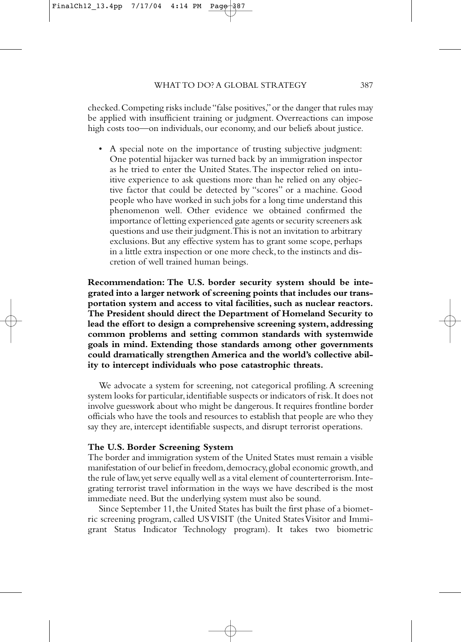checked.Competing risks include "false positives,"or the danger that rules may be applied with insufficient training or judgment. Overreactions can impose high costs too—on individuals, our economy, and our beliefs about justice.

• A special note on the importance of trusting subjective judgment: One potential hijacker was turned back by an immigration inspector as he tried to enter the United States.The inspector relied on intuitive experience to ask questions more than he relied on any objective factor that could be detected by "scores" or a machine. Good people who have worked in such jobs for a long time understand this phenomenon well. Other evidence we obtained confirmed the importance of letting experienced gate agents or security screeners ask questions and use their judgment.This is not an invitation to arbitrary exclusions. But any effective system has to grant some scope, perhaps in a little extra inspection or one more check, to the instincts and discretion of well trained human beings.

**Recommendation: The U.S. border security system should be integrated into a larger network of screening points that includes our transportation system and access to vital facilities, such as nuclear reactors. The President should direct the Department of Homeland Security to** lead the effort to design a comprehensive screening system, addressing **common problems and setting common standards with systemwide goals in mind. Extending those standards among other governments could dramatically strengthen America and the world's collective ability to intercept individuals who pose catastrophic threats.**

We advocate a system for screening, not categorical profiling. A screening system looks for particular, identifiable suspects or indicators of risk. It does not involve guesswork about who might be dangerous. It requires frontline border officials who have the tools and resources to establish that people are who they say they are, intercept identifiable suspects, and disrupt terrorist operations.

## **The U.S. Border Screening System**

The border and immigration system of the United States must remain a visible manifestation of our belief in freedom, democracy, global economic growth, and the rule of law,yet serve equally well as a vital element of counterterrorism.Integrating terrorist travel information in the ways we have described is the most immediate need. But the underlying system must also be sound.

Since September 11, the United States has built the first phase of a biometric screening program, called US VISIT (the United States Visitor and Immigrant Status Indicator Technology program). It takes two biometric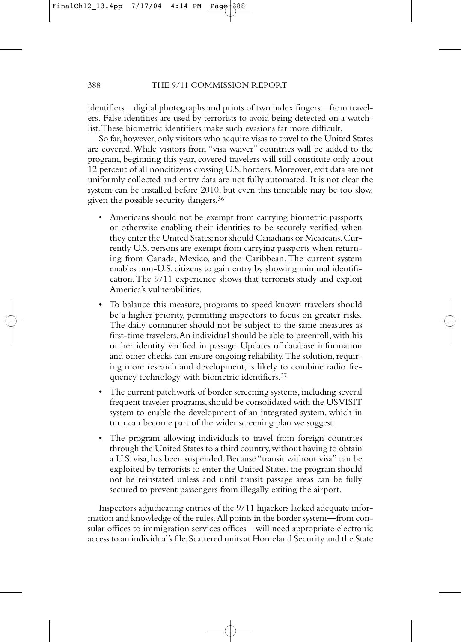identifiers—digital photographs and prints of two index fingers—from travelers*.* False identities are used by terrorists to avoid being detected on a watchlist.These biometric identifiers make such evasions far more difficult.

So far,however,only visitors who acquire visas to travel to the United States are covered.While visitors from "visa waiver" countries will be added to the program, beginning this year, covered travelers will still constitute only about 12 percent of all noncitizens crossing U.S. borders. Moreover, exit data are not uniformly collected and entry data are not fully automated. It is not clear the system can be installed before 2010, but even this timetable may be too slow, given the possible security dangers.36

- Americans should not be exempt from carrying biometric passports or otherwise enabling their identities to be securely verified when they enter the United States;nor should Canadians or Mexicans.Currently U.S. persons are exempt from carrying passports when returning from Canada, Mexico, and the Caribbean. The current system enables non-U.S. citizens to gain entry by showing minimal identification.The 9/11 experience shows that terrorists study and exploit America's vulnerabilities.
- To balance this measure, programs to speed known travelers should be a higher priority, permitting inspectors to focus on greater risks. The daily commuter should not be subject to the same measures as first-time travelers.An individual should be able to preenroll, with his or her identity verified in passage. Updates of database information and other checks can ensure ongoing reliability.The solution, requiring more research and development, is likely to combine radio frequency technology with biometric identifiers.37
- The current patchwork of border screening systems, including several frequent traveler programs, should be consolidated with the USVISIT system to enable the development of an integrated system, which in turn can become part of the wider screening plan we suggest.
- The program allowing individuals to travel from foreign countries through the United States to a third country, without having to obtain a U.S. visa, has been suspended. Because "transit without visa" can be exploited by terrorists to enter the United States, the program should not be reinstated unless and until transit passage areas can be fully secured to prevent passengers from illegally exiting the airport.

Inspectors adjudicating entries of the 9/11 hijackers lacked adequate information and knowledge of the rules.All points in the border system—from consular offices to immigration services offices—will need appropriate electronic access to an individual's file.Scattered units at Homeland Security and the State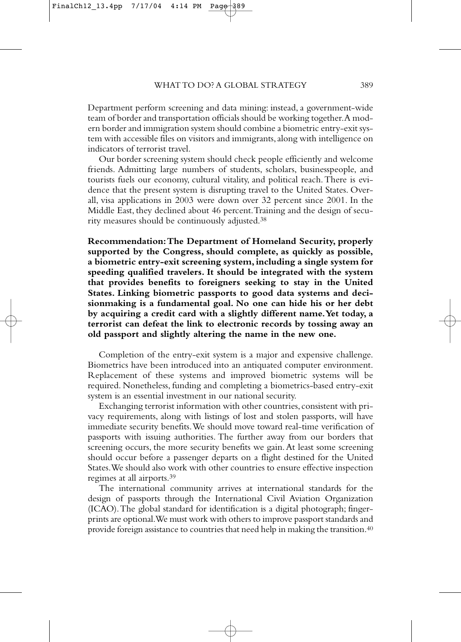Department perform screening and data mining: instead, a government-wide team of border and transportation officials should be working together.A modern border and immigration system should combine a biometric entry-exit system with accessible files on visitors and immigrants, along with intelligence on indicators of terrorist travel.

Our border screening system should check people efficiently and welcome friends. Admitting large numbers of students, scholars, businesspeople, and tourists fuels our economy, cultural vitality, and political reach.There is evidence that the present system is disrupting travel to the United States. Overall, visa applications in 2003 were down over 32 percent since 2001. In the Middle East, they declined about 46 percent.Training and the design of security measures should be continuously adjusted.38

**Recommendation:The Department of Homeland Security, properly supported by the Congress, should complete, as quickly as possible, a biometric entry-exit screening system,including a single system for speeding qualified travelers. It should be integrated with the system that provides benefits to foreigners seeking to stay in the United States. Linking biometric passports to good data systems and decisionmaking is a fundamental goal. No one can hide his or her debt by acquiring a credit card with a slightly different name.Yet today, a terrorist can defeat the link to electronic records by tossing away an old passport and slightly altering the name in the new one.**

Completion of the entry-exit system is a major and expensive challenge. Biometrics have been introduced into an antiquated computer environment. Replacement of these systems and improved biometric systems will be required. Nonetheless, funding and completing a biometrics-based entry-exit system is an essential investment in our national security.

Exchanging terrorist information with other countries, consistent with privacy requirements, along with listings of lost and stolen passports, will have immediate security benefits.We should move toward real-time verification of passports with issuing authorities. The further away from our borders that screening occurs, the more security benefits we gain.At least some screening should occur before a passenger departs on a flight destined for the United States.We should also work with other countries to ensure effective inspection regimes at all airports.39

The international community arrives at international standards for the design of passports through the International Civil Aviation Organization (ICAO).The global standard for identification is a digital photograph; fingerprints are optional.We must work with others to improve passport standards and provide foreign assistance to countries that need help in making the transition.<sup>40</sup>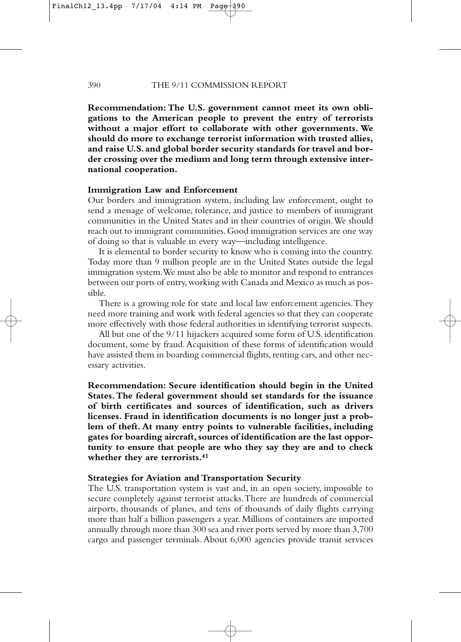**Recommendation: The U.S. government cannot meet its own obligations to the American people to prevent the entry of terrorists without a major effort to collaborate with other governments. We should do more to exchange terrorist information with trusted allies, and raise U.S.and global border security standards for travel and border crossing over the medium and long term through extensive international cooperation.**

## **Immigration Law and Enforcement**

Our borders and immigration system, including law enforcement, ought to send a message of welcome, tolerance, and justice to members of immigrant communities in the United States and in their countries of origin.We should reach out to immigrant communities. Good immigration services are one way of doing so that is valuable in every way—including intelligence.

It is elemental to border security to know who is coming into the country. Today more than 9 million people are in the United States outside the legal immigration system.We must also be able to monitor and respond to entrances between our ports of entry,working with Canada and Mexico as much as possible.

There is a growing role for state and local law enforcement agencies.They need more training and work with federal agencies so that they can cooperate more effectively with those federal authorities in identifying terrorist suspects.

All but one of the 9/11 hijackers acquired some form of U.S. identification document, some by fraud.Acquisition of these forms of identification would have assisted them in boarding commercial flights, renting cars, and other necessary activities.

**Recommendation: Secure identification should begin in the United States.The federal government should set standards for the issuance of birth certificates and sources of identification, such as drivers licenses. Fraud in identification documents is no longer just a problem of theft. At many entry points to vulnerable facilities, including** gates for boarding aircraft, sources of identification are the last oppor**tunity to ensure that people are who they say they are and to check whether they are terrorists.41**

## **Strategies for Aviation and Transportation Security**

The U.S. transportation system is vast and, in an open society, impossible to secure completely against terrorist attacks.There are hundreds of commercial airports, thousands of planes, and tens of thousands of daily flights carrying more than half a billion passengers a year. Millions of containers are imported annually through more than 300 sea and river ports served by more than 3,700 cargo and passenger terminals. About 6,000 agencies provide transit services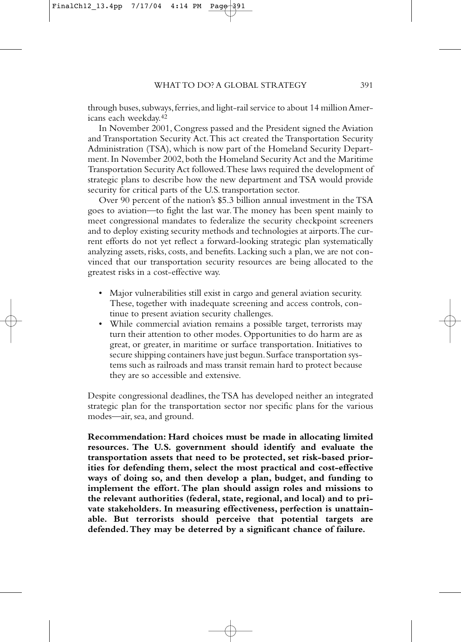through buses, subways, ferries, and light-rail service to about 14 million Americans each weekday.42

In November 2001, Congress passed and the President signed the Aviation and Transportation Security Act.This act created the Transportation Security Administration (TSA), which is now part of the Homeland Security Department. In November 2002, both the Homeland Security Act and the Maritime Transportation Security Act followed.These laws required the development of strategic plans to describe how the new department and TSA would provide security for critical parts of the U.S. transportation sector.

Over 90 percent of the nation's \$5.3 billion annual investment in the TSA goes to aviation—to fight the last war.The money has been spent mainly to meet congressional mandates to federalize the security checkpoint screeners and to deploy existing security methods and technologies at airports.The current efforts do not yet reflect a forward-looking strategic plan systematically analyzing assets, risks, costs, and benefits. Lacking such a plan, we are not convinced that our transportation security resources are being allocated to the greatest risks in a cost-effective way.

- Major vulnerabilities still exist in cargo and general aviation security. These, together with inadequate screening and access controls, continue to present aviation security challenges.
- While commercial aviation remains a possible target, terrorists may turn their attention to other modes. Opportunities to do harm are as great, or greater, in maritime or surface transportation. Initiatives to secure shipping containers have just begun. Surface transportation systems such as railroads and mass transit remain hard to protect because they are so accessible and extensive.

Despite congressional deadlines, the TSA has developed neither an integrated strategic plan for the transportation sector nor specific plans for the various modes—air, sea, and ground.

**Recommendation: Hard choices must be made in allocating limited resources. The U.S. government should identify and evaluate the transportation assets that need to be protected, set risk-based priorities for defending them, select the most practical and cost-effective ways of doing so, and then develop a plan, budget, and funding to implement the effort. The plan should assign roles and missions to the relevant authorities (federal, state, regional, and local) and to private stakeholders. In measuring effectiveness, perfection is unattainable. But terrorists should perceive that potential targets are defended.They may be deterred by a significant chance of failure.**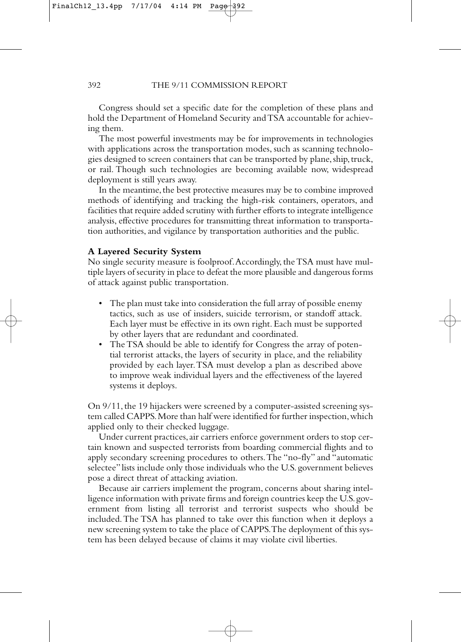Congress should set a specific date for the completion of these plans and hold the Department of Homeland Security and TSA accountable for achieving them.

The most powerful investments may be for improvements in technologies with applications across the transportation modes, such as scanning technologies designed to screen containers that can be transported by plane, ship, truck, or rail. Though such technologies are becoming available now, widespread deployment is still years away.

In the meantime, the best protective measures may be to combine improved methods of identifying and tracking the high-risk containers, operators, and facilities that require added scrutiny with further efforts to integrate intelligence analysis, effective procedures for transmitting threat information to transportation authorities, and vigilance by transportation authorities and the public.

#### **A Layered Security System**

No single security measure is foolproof.Accordingly, the TSA must have multiple layers of security in place to defeat the more plausible and dangerous forms of attack against public transportation.

- The plan must take into consideration the full array of possible enemy tactics, such as use of insiders, suicide terrorism, or standoff attack. Each layer must be effective in its own right. Each must be supported by other layers that are redundant and coordinated.
- The TSA should be able to identify for Congress the array of potential terrorist attacks, the layers of security in place, and the reliability provided by each layer.TSA must develop a plan as described above to improve weak individual layers and the effectiveness of the layered systems it deploys.

On 9/11, the 19 hijackers were screened by a computer-assisted screening system called CAPPS. More than half were identified for further inspection, which applied only to their checked luggage.

Under current practices,air carriers enforce government orders to stop certain known and suspected terrorists from boarding commercial flights and to apply secondary screening procedures to others.The "no-fly" and "automatic selectee" lists include only those individuals who the U.S. government believes pose a direct threat of attacking aviation.

Because air carriers implement the program, concerns about sharing intelligence information with private firms and foreign countries keep the U.S.government from listing all terrorist and terrorist suspects who should be included.The TSA has planned to take over this function when it deploys a new screening system to take the place of CAPPS.The deployment of this system has been delayed because of claims it may violate civil liberties.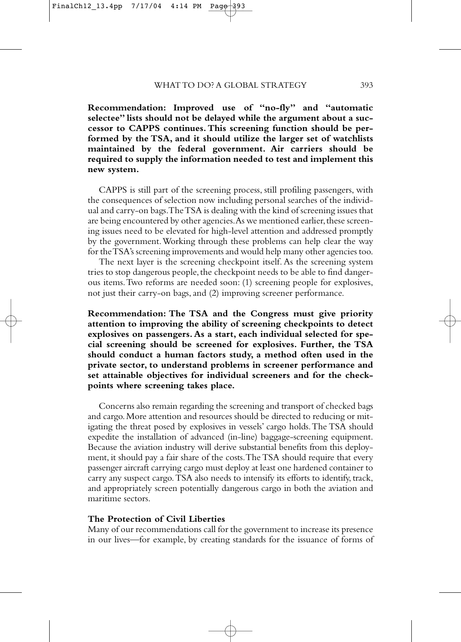**Recommendation: Improved use of "no-fly" and "automatic selectee" lists should not be delayed while the argument about a successor to CAPPS continues.This screening function should be performed by the TSA, and it should utilize the larger set of watchlists maintained by the federal government. Air carriers should be required to supply the information needed to test and implement this new system.**

CAPPS is still part of the screening process, still profiling passengers, with the consequences of selection now including personal searches of the individual and carry-on bags.The TSA is dealing with the kind of screening issues that are being encountered by other agencies. As we mentioned earlier, these screening issues need to be elevated for high-level attention and addressed promptly by the government.Working through these problems can help clear the way for the TSA's screening improvements and would help many other agencies too.

The next layer is the screening checkpoint itself. As the screening system tries to stop dangerous people, the checkpoint needs to be able to find dangerous items.Two reforms are needed soon: (1) screening people for explosives, not just their carry-on bags, and (2) improving screener performance.

**Recommendation: The TSA and the Congress must give priority attention to improving the ability of screening checkpoints to detect explosives on passengers.As a start, each individual selected for special screening should be screened for explosives. Further, the TSA should conduct a human factors study, a method often used in the private sector, to understand problems in screener performance and set attainable objectives for individual screeners and for the checkpoints where screening takes place.**

Concerns also remain regarding the screening and transport of checked bags and cargo.More attention and resources should be directed to reducing or mitigating the threat posed by explosives in vessels' cargo holds.The TSA should expedite the installation of advanced (in-line) baggage-screening equipment. Because the aviation industry will derive substantial benefits from this deployment, it should pay a fair share of the costs.The TSA should require that every passenger aircraft carrying cargo must deploy at least one hardened container to carry any suspect cargo.TSA also needs to intensify its efforts to identify, track, and appropriately screen potentially dangerous cargo in both the aviation and maritime sectors.

## **The Protection of Civil Liberties**

Many of our recommendations call for the government to increase its presence in our lives—for example, by creating standards for the issuance of forms of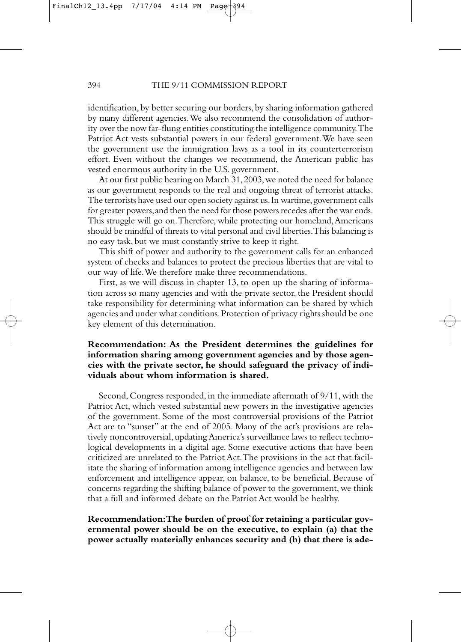identification, by better securing our borders, by sharing information gathered by many different agencies.We also recommend the consolidation of authority over the now far-flung entities constituting the intelligence community.The Patriot Act vests substantial powers in our federal government.We have seen the government use the immigration laws as a tool in its counterterrorism effort. Even without the changes we recommend, the American public has vested enormous authority in the U.S. government.

At our first public hearing on March 31, 2003, we noted the need for balance as our government responds to the real and ongoing threat of terrorist attacks. The terrorists have used our open society against us.In wartime,government calls for greater powers,and then the need for those powers recedes after the war ends. This struggle will go on.Therefore, while protecting our homeland,Americans should be mindful of threats to vital personal and civil liberties.This balancing is no easy task, but we must constantly strive to keep it right.

This shift of power and authority to the government calls for an enhanced system of checks and balances to protect the precious liberties that are vital to our way of life.We therefore make three recommendations.

First, as we will discuss in chapter 13, to open up the sharing of information across so many agencies and with the private sector, the President should take responsibility for determining what information can be shared by which agencies and under what conditions.Protection of privacy rights should be one key element of this determination.

# **Recommendation: As the President determines the guidelines for information sharing among government agencies and by those agencies with the private sector, he should safeguard the privacy of individuals about whom information is shared.**

Second, Congress responded, in the immediate aftermath of 9/11, with the Patriot Act, which vested substantial new powers in the investigative agencies of the government. Some of the most controversial provisions of the Patriot Act are to "sunset" at the end of 2005. Many of the act's provisions are relatively noncontroversial, updating America's surveillance laws to reflect technological developments in a digital age. Some executive actions that have been criticized are unrelated to the Patriot Act.The provisions in the act that facilitate the sharing of information among intelligence agencies and between law enforcement and intelligence appear, on balance, to be beneficial. Because of concerns regarding the shifting balance of power to the government, we think that a full and informed debate on the Patriot Act would be healthy.

**Recommendation:The burden of proof for retaining a particular governmental power should be on the executive, to explain (a) that the power actually materially enhances security and (b) that there is ade-**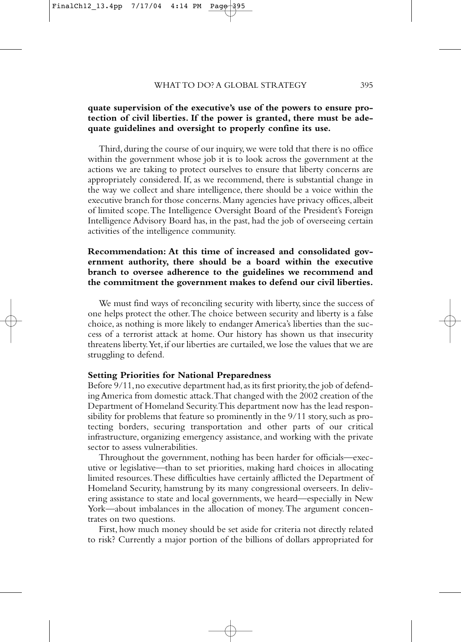# **quate supervision of the executive's use of the powers to ensure protection of civil liberties. If the power is granted, there must be adequate guidelines and oversight to properly confine its use.**

Third, during the course of our inquiry, we were told that there is no office within the government whose job it is to look across the government at the actions we are taking to protect ourselves to ensure that liberty concerns are appropriately considered. If, as we recommend, there is substantial change in the way we collect and share intelligence, there should be a voice within the executive branch for those concerns. Many agencies have privacy offices, albeit of limited scope.The Intelligence Oversight Board of the President's Foreign Intelligence Advisory Board has, in the past, had the job of overseeing certain activities of the intelligence community.

# **Recommendation: At this time of increased and consolidated government authority, there should be a board within the executive branch to oversee adherence to the guidelines we recommend and the commitment the government makes to defend our civil liberties.**

We must find ways of reconciling security with liberty, since the success of one helps protect the other.The choice between security and liberty is a false choice, as nothing is more likely to endanger America's liberties than the success of a terrorist attack at home. Our history has shown us that insecurity threatens liberty. Yet, if our liberties are curtailed, we lose the values that we are struggling to defend.

#### **Setting Priorities for National Preparedness**

Before 9/11, no executive department had, as its first priority, the job of defending America from domestic attack.That changed with the 2002 creation of the Department of Homeland Security.This department now has the lead responsibility for problems that feature so prominently in the 9/11 story, such as protecting borders, securing transportation and other parts of our critical infrastructure, organizing emergency assistance, and working with the private sector to assess vulnerabilities.

Throughout the government, nothing has been harder for officials—executive or legislative—than to set priorities, making hard choices in allocating limited resources.These difficulties have certainly afflicted the Department of Homeland Security, hamstrung by its many congressional overseers. In delivering assistance to state and local governments, we heard—especially in New York—about imbalances in the allocation of money.The argument concentrates on two questions.

First, how much money should be set aside for criteria not directly related to risk? Currently a major portion of the billions of dollars appropriated for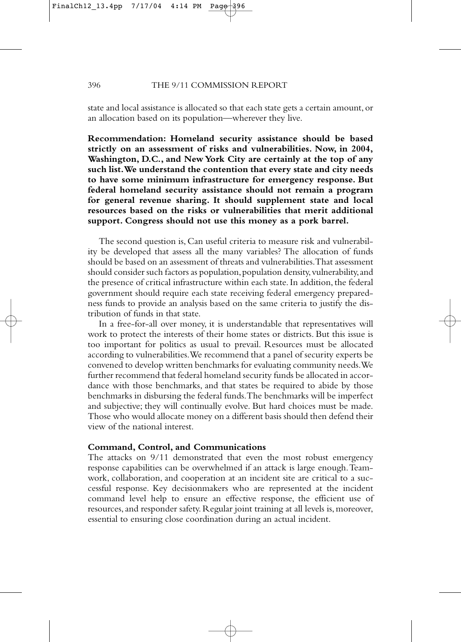state and local assistance is allocated so that each state gets a certain amount, or an allocation based on its population—wherever they live.

**Recommendation: Homeland security assistance should be based strictly on an assessment of risks and vulnerabilities. Now, in 2004, Washington, D.C., and New York City are certainly at the top of any such list.We understand the contention that every state and city needs to have some minimum infrastructure for emergency response. But federal homeland security assistance should not remain a program for general revenue sharing. It should supplement state and local resources based on the risks or vulnerabilities that merit additional support. Congress should not use this money as a pork barrel.**

The second question is, Can useful criteria to measure risk and vulnerability be developed that assess all the many variables? The allocation of funds should be based on an assessment of threats and vulnerabilities.That assessment should consider such factors as population, population density, vulnerability, and the presence of critical infrastructure within each state. In addition, the federal government should require each state receiving federal emergency preparedness funds to provide an analysis based on the same criteria to justify the distribution of funds in that state.

In a free-for-all over money, it is understandable that representatives will work to protect the interests of their home states or districts. But this issue is too important for politics as usual to prevail. Resources must be allocated according to vulnerabilities.We recommend that a panel of security experts be convened to develop written benchmarks for evaluating community needs.We further recommend that federal homeland security funds be allocated in accordance with those benchmarks, and that states be required to abide by those benchmarks in disbursing the federal funds.The benchmarks will be imperfect and subjective; they will continually evolve. But hard choices must be made. Those who would allocate money on a different basis should then defend their view of the national interest.

#### **Command, Control, and Communications**

The attacks on 9/11 demonstrated that even the most robust emergency response capabilities can be overwhelmed if an attack is large enough.Teamwork, collaboration, and cooperation at an incident site are critical to a successful response. Key decisionmakers who are represented at the incident command level help to ensure an effective response, the efficient use of resources, and responder safety. Regular joint training at all levels is, moreover, essential to ensuring close coordination during an actual incident.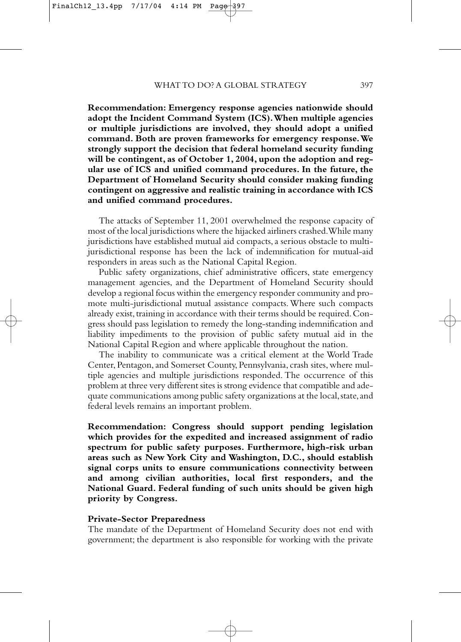**Recommendation: Emergency response agencies nationwide should adopt the Incident Command System (ICS).When multiple agencies or multiple jurisdictions are involved, they should adopt a unified command. Both are proven frameworks for emergency response.We strongly support the decision that federal homeland security funding will be contingent, as of October 1, 2004, upon the adoption and regular use of ICS and unified command procedures. In the future, the Department of Homeland Security should consider making funding contingent on aggressive and realistic training in accordance with ICS and unified command procedures.**

The attacks of September 11, 2001 overwhelmed the response capacity of most of the local jurisdictions where the hijacked airliners crashed.While many jurisdictions have established mutual aid compacts, a serious obstacle to multijurisdictional response has been the lack of indemnification for mutual-aid responders in areas such as the National Capital Region.

Public safety organizations, chief administrative officers, state emergency management agencies, and the Department of Homeland Security should develop a regional focus within the emergency responder community and promote multi-jurisdictional mutual assistance compacts. Where such compacts already exist, training in accordance with their terms should be required. Congress should pass legislation to remedy the long-standing indemnification and liability impediments to the provision of public safety mutual aid in the National Capital Region and where applicable throughout the nation.

The inability to communicate was a critical element at the World Trade Center, Pentagon, and Somerset County, Pennsylvania, crash sites, where multiple agencies and multiple jurisdictions responded. The occurrence of this problem at three very different sites is strong evidence that compatible and adequate communications among public safety organizations at the local, state, and federal levels remains an important problem.

**Recommendation: Congress should support pending legislation which provides for the expedited and increased assignment of radio spectrum for public safety purposes. Furthermore, high-risk urban areas such as New York City and Washington, D.C., should establish signal corps units to ensure communications connectivity between and among civilian authorities, local first responders, and the National Guard. Federal funding of such units should be given high priority by Congress.**

## **Private-Sector Preparedness**

The mandate of the Department of Homeland Security does not end with government; the department is also responsible for working with the private